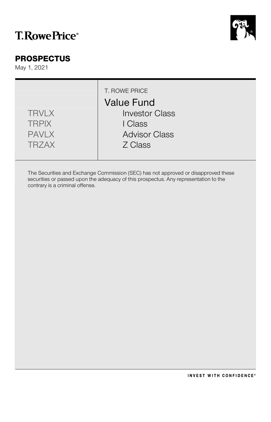# **T.RowePrice**®



### **PROSPECTUS**

May 1, 2021

|                              | T. ROWE PRICE<br><b>Value Fund</b> |
|------------------------------|------------------------------------|
| <b>TRVLX</b><br><b>TRPIX</b> | <b>Investor Class</b><br>I Class   |
| <b>PAVLX</b>                 | <b>Advisor Class</b>               |
| <b>TRZAX</b>                 | Z Class                            |

The Securities and Exchange Commission (SEC) has not approved or disapproved these securities or passed upon the adequacy of this prospectus. Any representation to the contrary is a criminal offense.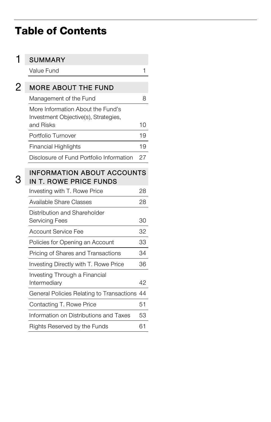# Table of Contents

| <b>SUMMARY</b>                                                                         |    |
|----------------------------------------------------------------------------------------|----|
| Value Fund                                                                             | 1  |
| <b>MORE ABOUT THE FUND</b>                                                             |    |
| Management of the Fund                                                                 | 8  |
| More Information About the Fund's<br>Investment Objective(s), Strategies,<br>and Risks | 10 |
| Portfolio Turnover                                                                     | 19 |
| <b>Financial Highlights</b>                                                            | 19 |
| Disclosure of Fund Portfolio Information                                               | 27 |
| <b>INFORMATION ABOUT ACCOUNTS</b><br>IN T. ROWE PRICE FUNDS                            |    |
| Investing with T. Rowe Price                                                           | 28 |
| <b>Available Share Classes</b>                                                         | 28 |
| Distribution and Shareholder<br>Servicing Fees                                         | 30 |
| <b>Account Service Fee</b>                                                             | 32 |
| Policies for Opening an Account                                                        | 33 |
| Pricing of Shares and Transactions                                                     | 34 |
| Investing Directly with T. Rowe Price                                                  | 36 |
| Investing Through a Financial<br>Intermediary                                          | 42 |
| General Policies Relating to Transactions 44                                           |    |
| Contacting T. Rowe Price                                                               | 51 |
| Information on Distributions and Taxes                                                 | 53 |
| Rights Reserved by the Funds                                                           | 61 |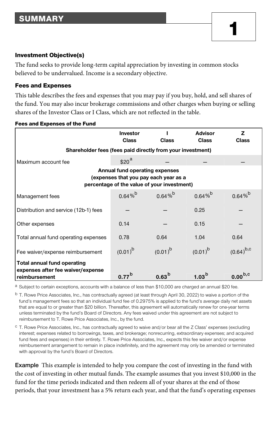#### Investment Objective(s)

The fund seeks to provide long-term capital appreciation by investing in common stocks believed to be undervalued. Income is a secondary objective.

#### Fees and Expenses

This table describes the fees and expenses that you may pay if you buy, hold, and sell shares of the fund. You may also incur brokerage commissions and other charges when buying or selling shares of the Investor Class or I Class, which are not reflected in the table.

|                                                                                                                        | <b>Investor</b><br><b>Class</b> | Class             | <b>Advisor</b><br><b>Class</b> | z<br>Class     |  |  |  |
|------------------------------------------------------------------------------------------------------------------------|---------------------------------|-------------------|--------------------------------|----------------|--|--|--|
| Shareholder fees (fees paid directly from your investment)                                                             |                                 |                   |                                |                |  |  |  |
| Maximum account fee                                                                                                    | \$20 <sup>a</sup>               |                   |                                |                |  |  |  |
| Annual fund operating expenses<br>(expenses that you pay each year as a<br>percentage of the value of your investment) |                                 |                   |                                |                |  |  |  |
| Management fees                                                                                                        | $0.64\%$                        | $0.64\%$          | $0.64\%$                       | $0.64\%$       |  |  |  |
| Distribution and service (12b-1) fees                                                                                  |                                 |                   | 0.25                           |                |  |  |  |
| Other expenses                                                                                                         | 0.14                            |                   | 0.15                           |                |  |  |  |
| Total annual fund operating expenses                                                                                   | 0.78                            | 0.64              | 1.04                           | 0.64           |  |  |  |
| Fee waiver/expense reimbursement                                                                                       | $(0.01)^{b}$                    | $(0.01)^{b}$      | $(0.01)^{b}$                   | $(0.64)^{b,c}$ |  |  |  |
| <b>Total annual fund operating</b>                                                                                     |                                 |                   |                                |                |  |  |  |
| expenses after fee waiver/expense<br>reimbursement                                                                     | 0.77 <sup>b</sup>               | 0.63 <sup>b</sup> | 1.03 <sup>b</sup>              | $0.00^{b,c}$   |  |  |  |

Fees and Expenses of the Fund

<sup>a</sup> Subject to certain exceptions, accounts with a balance of less than \$10,000 are charged an annual \$20 fee.

<sup>b</sup> T. Rowe Price Associates, Inc., has contractually agreed (at least through April 30, 2022) to waive a portion of the fund's management fees so that an individual fund fee of 0.2975% is applied to the fund's average daily net assets that are equal to or greater than \$20 billion. Thereafter, this agreement will automatically renew for one-year terms unless terminated by the fund's Board of Directors. Any fees waived under this agreement are not subject to reimbursement to T. Rowe Price Associates, Inc., by the fund.

c T. Rowe Price Associates, Inc., has contractually agreed to waive and/or bear all the Z Class' expenses (excluding interest; expenses related to borrowings, taxes, and brokerage; nonrecurring, extraordinary expenses; and acquired fund fees and expenses) in their entirety. T. Rowe Price Associates, Inc., expects this fee waiver and/or expense reimbursement arrangement to remain in place indefinitely, and the agreement may only be amended or terminated with approval by the fund's Board of Directors.

**Example** This example is intended to help you compare the cost of investing in the fund with the cost of investing in other mutual funds. The example assumes that you invest \$10,000 in the fund for the time periods indicated and then redeem all of your shares at the end of those periods, that your investment has a 5% return each year, and that the fund's operating expenses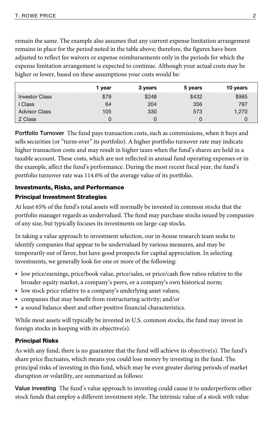remain the same. The example also assumes that any current expense limitation arrangement remains in place for the period noted in the table above; therefore, the figures have been adjusted to reflect fee waivers or expense reimbursements only in the periods for which the expense limitation arrangement is expected to continue. Although your actual costs may be higher or lower, based on these assumptions your costs would be:

|                       | 1 year | 3 years | 5 years | 10 years |
|-----------------------|--------|---------|---------|----------|
| <b>Investor Class</b> | \$79   | \$248   | \$432   | \$965    |
| Class                 | 64     | 204     | 356     | 797      |
| <b>Advisor Class</b>  | 105    | 330     | 573     | 1.270    |
| Z Class               |        |         |         |          |

**Portfolio Turnover** The fund pays transaction costs, such as commissions, when it buys and sells securities (or "turns over" its portfolio). A higher portfolio turnover rate may indicate higher transaction costs and may result in higher taxes when the fund's shares are held in a taxable account. These costs, which are not reflected in annual fund operating expenses or in the example, affect the fund's performance. During the most recent fiscal year, the fund's portfolio turnover rate was 114.6% of the average value of its portfolio.

## Investments, Risks, and Performance

### Principal Investment Strategies

At least 65% of the fund's total assets will normally be invested in common stocks that the portfolio manager regards as undervalued. The fund may purchase stocks issued by companies of any size, but typically focuses its investments on large-cap stocks.

In taking a value approach to investment selection, our in-house research team seeks to identify companies that appear to be undervalued by various measures, and may be temporarily out of favor, but have good prospects for capital appreciation. In selecting investments, we generally look for one or more of the following:

- low price/earnings, price/book value, price/sales, or price/cash flow ratios relative to the broader equity market, a company's peers, or a company's own historical norm;
- low stock price relative to a company's underlying asset values;
- companies that may benefit from restructuring activity; and/or
- a sound balance sheet and other positive financial characteristics.

While most assets will typically be invested in U.S. common stocks, the fund may invest in foreign stocks in keeping with its objective(s).

### Principal Risks

As with any fund, there is no guarantee that the fund will achieve its objective(s). The fund's share price fluctuates, which means you could lose money by investing in the fund. The principal risks of investing in this fund, which may be even greater during periods of market disruption or volatility, are summarized as follows:

**Value investing** The fund's value approach to investing could cause it to underperform other stock funds that employ a different investment style. The intrinsic value of a stock with value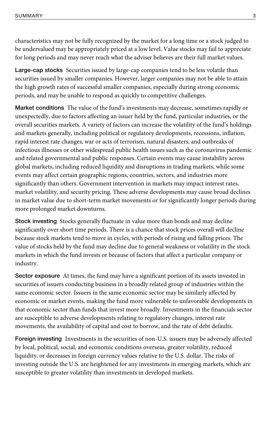characteristics may not be fully recognized by the market for a long time or a stock judged to be undervalued may be appropriately priced at a low level. Value stocks may fail to appreciate for long periods and may never reach what the adviser believes are their full market values.

**Large-cap stocks** Securities issued by large-cap companies tend to be less volatile than securities issued by smaller companies. However, larger companies may not be able to attain the high growth rates of successful smaller companies, especially during strong economic periods, and may be unable to respond as quickly to competitive challenges.

**Market conditions** The value of the fund's investments may decrease, sometimes rapidly or unexpectedly, due to factors affecting an issuer held by the fund, particular industries, or the overall securities markets. A variety of factors can increase the volatility of the fund's holdings and markets generally, including political or regulatory developments, recessions, inflation, rapid interest rate changes, war or acts of terrorism, natural disasters, and outbreaks of infectious illnesses or other widespread public health issues such as the coronavirus pandemic and related governmental and public responses. Certain events may cause instability across global markets, including reduced liquidity and disruptions in trading markets, while some events may affect certain geographic regions, countries, sectors, and industries more significantly than others. Government intervention in markets may impact interest rates, market volatility, and security pricing. These adverse developments may cause broad declines in market value due to short-term market movements or for significantly longer periods during more prolonged market downturns.

**Stock investing** Stocks generally fluctuate in value more than bonds and may decline significantly over short time periods. There is a chance that stock prices overall will decline because stock markets tend to move in cycles, with periods of rising and falling prices. The value of stocks held by the fund may decline due to general weakness or volatility in the stock markets in which the fund invests or because of factors that affect a particular company or industry.

**Sector exposure** At times, the fund may have a significant portion of its assets invested in securities of issuers conducting business in a broadly related group of industries within the same economic sector. Issuers in the same economic sector may be similarly affected by economic or market events, making the fund more vulnerable to unfavorable developments in that economic sector than funds that invest more broadly. Investments in the financials sector are susceptible to adverse developments relating to regulatory changes, interest rate movements, the availability of capital and cost to borrow, and the rate of debt defaults.

**Foreign investing** Investments in the securities of non-U.S. issuers may be adversely affected by local, political, social, and economic conditions overseas, greater volatility, reduced liquidity, or decreases in foreign currency values relative to the U.S. dollar. The risks of investing outside the U.S. are heightened for any investments in emerging markets, which are susceptible to greater volatility than investments in developed markets.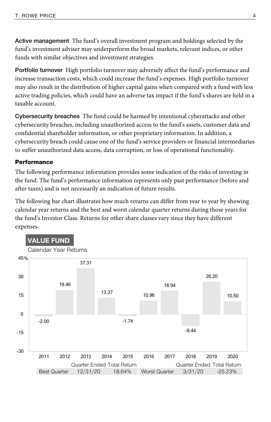**Active management** The fund's overall investment program and holdings selected by the fund's investment adviser may underperform the broad markets, relevant indices, or other funds with similar objectives and investment strategies.

**Portfolio turnover** High portfolio turnover may adversely affect the fund's performance and increase transaction costs, which could increase the fund's expenses. High portfolio turnover may also result in the distribution of higher capital gains when compared with a fund with less active trading policies, which could have an adverse tax impact if the fund's shares are held in a taxable account.

**Cybersecurity breaches** The fund could be harmed by intentional cyberattacks and other cybersecurity breaches, including unauthorized access to the fund's assets, customer data and confidential shareholder information, or other proprietary information. In addition, a cybersecurity breach could cause one of the fund's service providers or financial intermediaries to suffer unauthorized data access, data corruption, or loss of operational functionality.

### **Performance**

The following performance information provides some indication of the risks of investing in the fund. The fund's performance information represents only past performance (before and after taxes) and is not necessarily an indication of future results.

The following bar chart illustrates how much returns can differ from year to year by showing calendar year returns and the best and worst calendar quarter returns during those years for the fund's Investor Class. Returns for other share classes vary since they have different expenses.

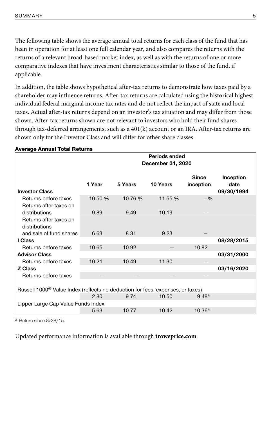The following table shows the average annual total returns for each class of the fund that has been in operation for at least one full calendar year, and also compares the returns with the returns of a relevant broad-based market index, as well as with the returns of one or more comparative indexes that have investment characteristics similar to those of the fund, if applicable.

In addition, the table shows hypothetical after-tax returns to demonstrate how taxes paid by a shareholder may influence returns. After-tax returns are calculated using the historical highest individual federal marginal income tax rates and do not reflect the impact of state and local taxes. Actual after-tax returns depend on an investor's tax situation and may differ from those shown. After-tax returns shown are not relevant to investors who hold their fund shares through tax-deferred arrangements, such as a 401(k) account or an IRA. After-tax returns are shown only for the Investor Class and will differ for other share classes.

| Average Annuar Total Neturns                                                               |         | Periods ended |                   |                    |            |  |  |  |  |  |
|--------------------------------------------------------------------------------------------|---------|---------------|-------------------|--------------------|------------|--|--|--|--|--|
|                                                                                            |         |               | December 31, 2020 |                    |            |  |  |  |  |  |
|                                                                                            |         |               |                   | <b>Since</b>       | Inception  |  |  |  |  |  |
|                                                                                            | 1 Year  | 5 Years       | 10 Years          | inception          | date       |  |  |  |  |  |
| <b>Investor Class</b>                                                                      |         |               |                   |                    | 09/30/1994 |  |  |  |  |  |
| Returns before taxes                                                                       | 10.50 % | 10.76 %       | 11.55 %           | $-$ %              |            |  |  |  |  |  |
| Returns after taxes on                                                                     |         |               |                   |                    |            |  |  |  |  |  |
| distributions                                                                              | 9.89    | 9.49          | 10.19             |                    |            |  |  |  |  |  |
| Returns after taxes on                                                                     |         |               |                   |                    |            |  |  |  |  |  |
| distributions                                                                              |         |               |                   |                    |            |  |  |  |  |  |
| and sale of fund shares                                                                    | 6.63    | 8.31          | 9.23              |                    |            |  |  |  |  |  |
| I Class                                                                                    |         |               |                   |                    | 08/28/2015 |  |  |  |  |  |
| Returns before taxes                                                                       | 10.65   | 10.92         |                   | 10.82              |            |  |  |  |  |  |
| <b>Advisor Class</b>                                                                       |         |               |                   |                    | 03/31/2000 |  |  |  |  |  |
| Returns before taxes                                                                       | 10.21   | 10.49         | 11.30             |                    |            |  |  |  |  |  |
| <b>Z Class</b>                                                                             |         |               |                   |                    | 03/16/2020 |  |  |  |  |  |
| Returns before taxes                                                                       |         |               |                   |                    |            |  |  |  |  |  |
|                                                                                            |         |               |                   |                    |            |  |  |  |  |  |
| Russell 1000 <sup>®</sup> Value Index (reflects no deduction for fees, expenses, or taxes) |         |               |                   |                    |            |  |  |  |  |  |
| 2.80<br>9.74<br>10.50<br>9.48 <sup>a</sup>                                                 |         |               |                   |                    |            |  |  |  |  |  |
| Lipper Large-Cap Value Funds Index                                                         |         |               |                   |                    |            |  |  |  |  |  |
|                                                                                            | 5.63    | 10.77         | 10.42             | 10.36 <sup>a</sup> |            |  |  |  |  |  |

#### Average Annual Total Returns

a Return since 8/28/15.

Updated performance information is available through **troweprice.com**.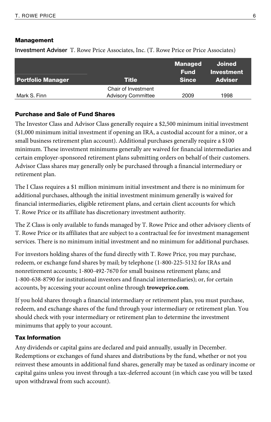#### Management

**Investment Adviser** T. Rowe Price Associates, Inc. (T. Rowe Price or Price Associates)

|                           | <b>Managed</b><br>Fund | Joined<br>Investment |
|---------------------------|------------------------|----------------------|
|                           |                        | <b>Adviser</b>       |
| Chair of Investment       |                        |                      |
| <b>Advisory Committee</b> | 2009                   | 1998                 |
|                           | <b>Title</b>           | <b>Since</b>         |

#### Purchase and Sale of Fund Shares

The Investor Class and Advisor Class generally require a \$2,500 minimum initial investment (\$1,000 minimum initial investment if opening an IRA, a custodial account for a minor, or a small business retirement plan account). Additional purchases generally require a \$100 minimum. These investment minimums generally are waived for financial intermediaries and certain employer-sponsored retirement plans submitting orders on behalf of their customers. Advisor Class shares may generally only be purchased through a financial intermediary or retirement plan.

The I Class requires a \$1 million minimum initial investment and there is no minimum for additional purchases, although the initial investment minimum generally is waived for financial intermediaries, eligible retirement plans, and certain client accounts for which T. Rowe Price or its affiliate has discretionary investment authority.

The Z Class is only available to funds managed by T. Rowe Price and other advisory clients of T. Rowe Price or its affiliates that are subject to a contractual fee for investment management services. There is no minimum initial investment and no minimum for additional purchases.

For investors holding shares of the fund directly with T. Rowe Price, you may purchase, redeem, or exchange fund shares by mail; by telephone (1-800-225-5132 for IRAs and nonretirement accounts; 1-800-492-7670 for small business retirement plans; and 1-800-638-8790 for institutional investors and financial intermediaries); or, for certain accounts, by accessing your account online through **troweprice.com**.

If you hold shares through a financial intermediary or retirement plan, you must purchase, redeem, and exchange shares of the fund through your intermediary or retirement plan. You should check with your intermediary or retirement plan to determine the investment minimums that apply to your account.

#### Tax Information

Any dividends or capital gains are declared and paid annually, usually in December. Redemptions or exchanges of fund shares and distributions by the fund, whether or not you reinvest these amounts in additional fund shares, generally may be taxed as ordinary income or capital gains unless you invest through a tax-deferred account (in which case you will be taxed upon withdrawal from such account).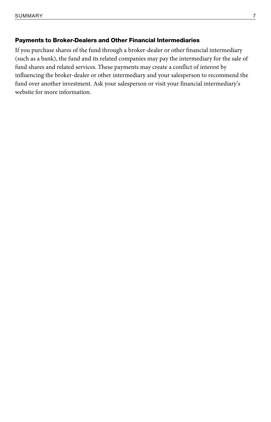### Payments to Broker-Dealers and Other Financial Intermediaries

If you purchase shares of the fund through a broker-dealer or other financial intermediary (such as a bank), the fund and its related companies may pay the intermediary for the sale of fund shares and related services. These payments may create a conflict of interest by influencing the broker-dealer or other intermediary and your salesperson to recommend the fund over another investment. Ask your salesperson or visit your financial intermediary's website for more information.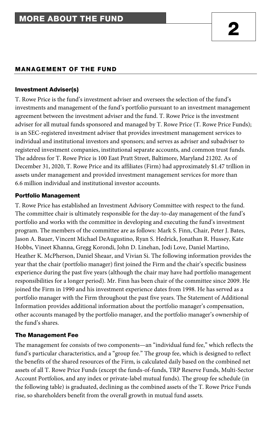### MANAGEMENT OF THE FUND

#### Investment Adviser(s)

T. Rowe Price is the fund's investment adviser and oversees the selection of the fund's investments and management of the fund's portfolio pursuant to an investment management agreement between the investment adviser and the fund. T. Rowe Price is the investment adviser for all mutual funds sponsored and managed by T. Rowe Price (T. Rowe Price Funds); is an SEC-registered investment adviser that provides investment management services to individual and institutional investors and sponsors; and serves as adviser and subadviser to registered investment companies, institutional separate accounts, and common trust funds. The address for T. Rowe Price is 100 East Pratt Street, Baltimore, Maryland 21202. As of December 31, 2020, T. Rowe Price and its affiliates (Firm) had approximately \$1.47 trillion in assets under management and provided investment management services for more than 6.6 million individual and institutional investor accounts.

### Portfolio Management

T. Rowe Price has established an Investment Advisory Committee with respect to the fund. The committee chair is ultimately responsible for the day-to-day management of the fund's portfolio and works with the committee in developing and executing the fund's investment program. The members of the committee are as follows: Mark S. Finn, Chair, Peter J. Bates, Jason A. Bauer, Vincent Michael DeAugustino, Ryan S. Hedrick, Jonathan R. Hussey, Kate Hobbs, Vineet Khanna, Gregg Korondi, John D. Linehan, Jodi Love, Daniel Martino, Heather K. McPherson, Daniel Sheaar, and Vivian Si. The following information provides the year that the chair (portfolio manager) first joined the Firm and the chair's specific business experience during the past five years (although the chair may have had portfolio management responsibilities for a longer period). Mr. Finn has been chair of the committee since 2009. He joined the Firm in 1990 and his investment experience dates from 1998. He has served as a portfolio manager with the Firm throughout the past five years. The Statement of Additional Information provides additional information about the portfolio manager's compensation, other accounts managed by the portfolio manager, and the portfolio manager's ownership of the fund's shares.

### The Management Fee

The management fee consists of two components—an "individual fund fee," which reflects the fund's particular characteristics, and a "group fee." The group fee, which is designed to reflect the benefits of the shared resources of the Firm, is calculated daily based on the combined net assets of all T. Rowe Price Funds (except the funds-of-funds, TRP Reserve Funds, Multi-Sector Account Portfolios, and any index or private-label mutual funds). The group fee schedule (in the following table) is graduated, declining as the combined assets of the T. Rowe Price Funds rise, so shareholders benefit from the overall growth in mutual fund assets.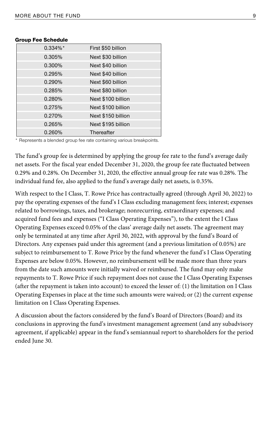| $0.334\%*$ | First \$50 billion |
|------------|--------------------|
| 0.305%     | Next \$30 billion  |
| 0.300%     | Next \$40 billion  |
| 0.295%     | Next \$40 billion  |
| 0.290%     | Next \$60 billion  |
| 0.285%     | Next \$80 billion  |
| 0.280%     | Next \$100 billion |
| 0.275%     | Next \$100 billion |
| 0.270%     | Next \$150 billion |
| 0.265%     | Next \$195 billion |
| 0.260%     | Thereafter         |

#### Group Fee Schedule

\* Represents a blended group fee rate containing various breakpoints.

The fund's group fee is determined by applying the group fee rate to the fund's average daily net assets. For the fiscal year ended December 31, 2020, the group fee rate fluctuated between 0.29% and 0.28%. On December 31, 2020, the effective annual group fee rate was 0.28%. The individual fund fee, also applied to the fund's average daily net assets, is 0.35%.

With respect to the I Class, T. Rowe Price has contractually agreed (through April 30, 2022) to pay the operating expenses of the fund's I Class excluding management fees; interest; expenses related to borrowings, taxes, and brokerage; nonrecurring, extraordinary expenses; and acquired fund fees and expenses ("I Class Operating Expenses"), to the extent the I Class Operating Expenses exceed 0.05% of the class' average daily net assets. The agreement may only be terminated at any time after April 30, 2022, with approval by the fund's Board of Directors. Any expenses paid under this agreement (and a previous limitation of 0.05%) are subject to reimbursement to T. Rowe Price by the fund whenever the fund's I Class Operating Expenses are below 0.05%. However, no reimbursement will be made more than three years from the date such amounts were initially waived or reimbursed. The fund may only make repayments to T. Rowe Price if such repayment does not cause the I Class Operating Expenses (after the repayment is taken into account) to exceed the lesser of: (1) the limitation on I Class Operating Expenses in place at the time such amounts were waived; or (2) the current expense limitation on I Class Operating Expenses.

A discussion about the factors considered by the fund's Board of Directors (Board) and its conclusions in approving the fund's investment management agreement (and any subadvisory agreement, if applicable) appear in the fund's semiannual report to shareholders for the period ended June 30.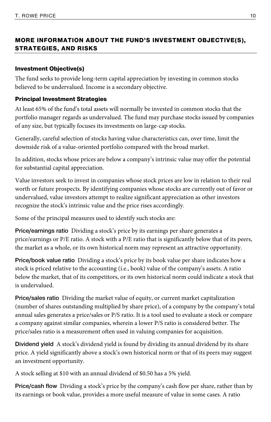### MORE INFORMATION ABOUT THE FUND'S INVESTMENT OBJECTIVE(S), STRATEGIES, AND RISKS

### Investment Objective(s)

The fund seeks to provide long-term capital appreciation by investing in common stocks believed to be undervalued. Income is a secondary objective.

#### Principal Investment Strategies

At least 65% of the fund's total assets will normally be invested in common stocks that the portfolio manager regards as undervalued. The fund may purchase stocks issued by companies of any size, but typically focuses its investments on large-cap stocks.

Generally, careful selection of stocks having value characteristics can, over time, limit the downside risk of a value-oriented portfolio compared with the broad market.

In addition, stocks whose prices are below a company's intrinsic value may offer the potential for substantial capital appreciation.

Value investors seek to invest in companies whose stock prices are low in relation to their real worth or future prospects. By identifying companies whose stocks are currently out of favor or undervalued, value investors attempt to realize significant appreciation as other investors recognize the stock's intrinsic value and the price rises accordingly.

Some of the principal measures used to identify such stocks are:

**Price/earnings ratio** Dividing a stock's price by its earnings per share generates a price/earnings or P/E ratio. A stock with a P/E ratio that is significantly below that of its peers, the market as a whole, or its own historical norm may represent an attractive opportunity.

**Price/book value ratio** Dividing a stock's price by its book value per share indicates how a stock is priced relative to the accounting (i.e., book) value of the company's assets. A ratio below the market, that of its competitors, or its own historical norm could indicate a stock that is undervalued.

**Price/sales ratio** Dividing the market value of equity, or current market capitalization (number of shares outstanding multiplied by share price), of a company by the company's total annual sales generates a price/sales or P/S ratio. It is a tool used to evaluate a stock or compare a company against similar companies, wherein a lower P/S ratio is considered better. The price/sales ratio is a measurement often used in valuing companies for acquisition.

**Dividend yield** A stock's dividend yield is found by dividing its annual dividend by its share price. A yield significantly above a stock's own historical norm or that of its peers may suggest an investment opportunity.

A stock selling at \$10 with an annual dividend of \$0.50 has a 5% yield.

**Price/cash flow** Dividing a stock's price by the company's cash flow per share, rather than by its earnings or book value, provides a more useful measure of value in some cases. A ratio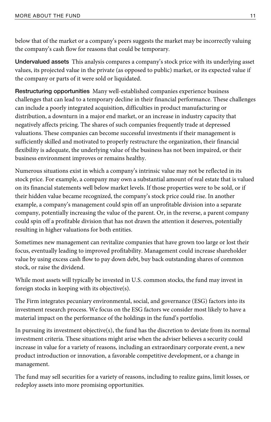below that of the market or a company's peers suggests the market may be incorrectly valuing the company's cash flow for reasons that could be temporary.

**Undervalued assets** This analysis compares a company's stock price with its underlying asset values, its projected value in the private (as opposed to public) market, or its expected value if the company or parts of it were sold or liquidated.

**Restructuring opportunities** Many well-established companies experience business challenges that can lead to a temporary decline in their financial performance. These challenges can include a poorly integrated acquisition, difficulties in product manufacturing or distribution, a downturn in a major end market, or an increase in industry capacity that negatively affects pricing. The shares of such companies frequently trade at depressed valuations. These companies can become successful investments if their management is sufficiently skilled and motivated to properly restructure the organization, their financial flexibility is adequate, the underlying value of the business has not been impaired, or their business environment improves or remains healthy.

Numerous situations exist in which a company's intrinsic value may not be reflected in its stock price. For example, a company may own a substantial amount of real estate that is valued on its financial statements well below market levels. If those properties were to be sold, or if their hidden value became recognized, the company's stock price could rise. In another example, a company's management could spin off an unprofitable division into a separate company, potentially increasing the value of the parent. Or, in the reverse, a parent company could spin off a profitable division that has not drawn the attention it deserves, potentially resulting in higher valuations for both entities.

Sometimes new management can revitalize companies that have grown too large or lost their focus, eventually leading to improved profitability. Management could increase shareholder value by using excess cash flow to pay down debt, buy back outstanding shares of common stock, or raise the dividend.

While most assets will typically be invested in U.S. common stocks, the fund may invest in foreign stocks in keeping with its objective(s).

The Firm integrates pecuniary environmental, social, and governance (ESG) factors into its investment research process. We focus on the ESG factors we consider most likely to have a material impact on the performance of the holdings in the fund's portfolio.

In pursuing its investment objective(s), the fund has the discretion to deviate from its normal investment criteria. These situations might arise when the adviser believes a security could increase in value for a variety of reasons, including an extraordinary corporate event, a new product introduction or innovation, a favorable competitive development, or a change in management.

The fund may sell securities for a variety of reasons, including to realize gains, limit losses, or redeploy assets into more promising opportunities.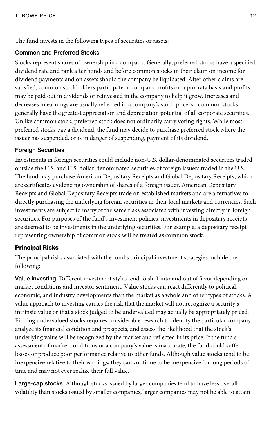The fund invests in the following types of securities or assets:

### **Common and Preferred Stocks**

Stocks represent shares of ownership in a company. Generally, preferred stocks have a specified dividend rate and rank after bonds and before common stocks in their claim on income for dividend payments and on assets should the company be liquidated. After other claims are satisfied, common stockholders participate in company profits on a pro-rata basis and profits may be paid out in dividends or reinvested in the company to help it grow. Increases and decreases in earnings are usually reflected in a company's stock price, so common stocks generally have the greatest appreciation and depreciation potential of all corporate securities. Unlike common stock, preferred stock does not ordinarily carry voting rights. While most preferred stocks pay a dividend, the fund may decide to purchase preferred stock where the issuer has suspended, or is in danger of suspending, payment of its dividend.

### **Foreign Securities**

Investments in foreign securities could include non-U.S. dollar-denominated securities traded outside the U.S. and U.S. dollar-denominated securities of foreign issuers traded in the U.S. The fund may purchase American Depositary Receipts and Global Depositary Receipts, which are certificates evidencing ownership of shares of a foreign issuer. American Depositary Receipts and Global Depositary Receipts trade on established markets and are alternatives to directly purchasing the underlying foreign securities in their local markets and currencies. Such investments are subject to many of the same risks associated with investing directly in foreign securities. For purposes of the fund's investment policies, investments in depositary receipts are deemed to be investments in the underlying securities. For example, a depositary receipt representing ownership of common stock will be treated as common stock.

### Principal Risks

The principal risks associated with the fund's principal investment strategies include the following:

**Value investing** Different investment styles tend to shift into and out of favor depending on market conditions and investor sentiment. Value stocks can react differently to political, economic, and industry developments than the market as a whole and other types of stocks. A value approach to investing carries the risk that the market will not recognize a security's intrinsic value or that a stock judged to be undervalued may actually be appropriately priced. Finding undervalued stocks requires considerable research to identify the particular company, analyze its financial condition and prospects, and assess the likelihood that the stock's underlying value will be recognized by the market and reflected in its price. If the fund's assessment of market conditions or a company's value is inaccurate, the fund could suffer losses or produce poor performance relative to other funds. Although value stocks tend to be inexpensive relative to their earnings, they can continue to be inexpensive for long periods of time and may not ever realize their full value.

**Large-cap stocks** Although stocks issued by larger companies tend to have less overall volatility than stocks issued by smaller companies, larger companies may not be able to attain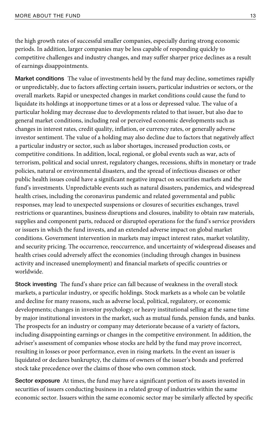the high growth rates of successful smaller companies, especially during strong economic periods. In addition, larger companies may be less capable of responding quickly to competitive challenges and industry changes, and may suffer sharper price declines as a result of earnings disappointments.

**Market conditions** The value of investments held by the fund may decline, sometimes rapidly or unpredictably, due to factors affecting certain issuers, particular industries or sectors, or the overall markets. Rapid or unexpected changes in market conditions could cause the fund to liquidate its holdings at inopportune times or at a loss or depressed value. The value of a particular holding may decrease due to developments related to that issuer, but also due to general market conditions, including real or perceived economic developments such as changes in interest rates, credit quality, inflation, or currency rates, or generally adverse investor sentiment. The value of a holding may also decline due to factors that negatively affect a particular industry or sector, such as labor shortages, increased production costs, or competitive conditions. In addition, local, regional, or global events such as war, acts of terrorism, political and social unrest, regulatory changes, recessions, shifts in monetary or trade policies, natural or environmental disasters, and the spread of infectious diseases or other public health issues could have a significant negative impact on securities markets and the fund's investments. Unpredictable events such as natural disasters, pandemics, and widespread health crises, including the coronavirus pandemic and related governmental and public responses, may lead to unexpected suspensions or closures of securities exchanges, travel restrictions or quarantines, business disruptions and closures, inability to obtain raw materials, supplies and component parts, reduced or disrupted operations for the fund's service providers or issuers in which the fund invests, and an extended adverse impact on global market conditions. Government intervention in markets may impact interest rates, market volatility, and security pricing. The occurrence, reoccurrence, and uncertainty of widespread diseases and health crises could adversely affect the economies (including through changes in business activity and increased unemployment) and financial markets of specific countries or worldwide.

**Stock investing** The fund's share price can fall because of weakness in the overall stock markets, a particular industry, or specific holdings. Stock markets as a whole can be volatile and decline for many reasons, such as adverse local, political, regulatory, or economic developments; changes in investor psychology; or heavy institutional selling at the same time by major institutional investors in the market, such as mutual funds, pension funds, and banks. The prospects for an industry or company may deteriorate because of a variety of factors, including disappointing earnings or changes in the competitive environment. In addition, the adviser's assessment of companies whose stocks are held by the fund may prove incorrect, resulting in losses or poor performance, even in rising markets. In the event an issuer is liquidated or declares bankruptcy, the claims of owners of the issuer's bonds and preferred stock take precedence over the claims of those who own common stock.

**Sector exposure** At times, the fund may have a significant portion of its assets invested in securities of issuers conducting business in a related group of industries within the same economic sector. Issuers within the same economic sector may be similarly affected by specific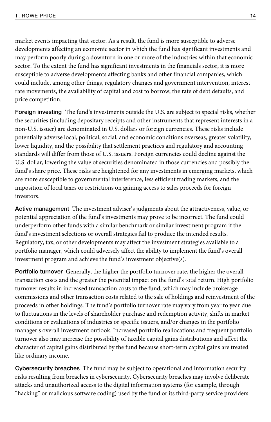market events impacting that sector. As a result, the fund is more susceptible to adverse developments affecting an economic sector in which the fund has significant investments and may perform poorly during a downturn in one or more of the industries within that economic sector. To the extent the fund has significant investments in the financials sector, it is more susceptible to adverse developments affecting banks and other financial companies, which could include, among other things, regulatory changes and government intervention, interest rate movements, the availability of capital and cost to borrow, the rate of debt defaults, and price competition.

**Foreign investing** The fund's investments outside the U.S. are subject to special risks, whether the securities (including depositary receipts and other instruments that represent interests in a non-U.S. issuer) are denominated in U.S. dollars or foreign currencies. These risks include potentially adverse local, political, social, and economic conditions overseas, greater volatility, lower liquidity, and the possibility that settlement practices and regulatory and accounting standards will differ from those of U.S. issuers. Foreign currencies could decline against the U.S. dollar, lowering the value of securities denominated in those currencies and possibly the fund's share price. These risks are heightened for any investments in emerging markets, which are more susceptible to governmental interference, less efficient trading markets, and the imposition of local taxes or restrictions on gaining access to sales proceeds for foreign investors.

**Active management** The investment adviser's judgments about the attractiveness, value, or potential appreciation of the fund's investments may prove to be incorrect. The fund could underperform other funds with a similar benchmark or similar investment program if the fund's investment selections or overall strategies fail to produce the intended results. Regulatory, tax, or other developments may affect the investment strategies available to a portfolio manager, which could adversely affect the ability to implement the fund's overall investment program and achieve the fund's investment objective(s).

**Portfolio turnover** Generally, the higher the portfolio turnover rate, the higher the overall transaction costs and the greater the potential impact on the fund's total return. High portfolio turnover results in increased transaction costs to the fund, which may include brokerage commissions and other transaction costs related to the sale of holdings and reinvestment of the proceeds in other holdings. The fund's portfolio turnover rate may vary from year to year due to fluctuations in the levels of shareholder purchase and redemption activity, shifts in market conditions or evaluations of industries or specific issuers, and/or changes in the portfolio manager's overall investment outlook. Increased portfolio reallocations and frequent portfolio turnover also may increase the possibility of taxable capital gains distributions and affect the character of capital gains distributed by the fund because short-term capital gains are treated like ordinary income.

**Cybersecurity breaches** The fund may be subject to operational and information security risks resulting from breaches in cybersecurity. Cybersecurity breaches may involve deliberate attacks and unauthorized access to the digital information systems (for example, through "hacking" or malicious software coding) used by the fund or its third-party service providers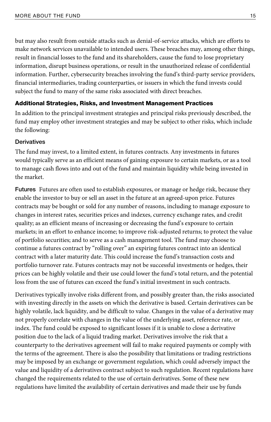but may also result from outside attacks such as denial-of-service attacks, which are efforts to make network services unavailable to intended users. These breaches may, among other things, result in financial losses to the fund and its shareholders, cause the fund to lose proprietary information, disrupt business operations, or result in the unauthorized release of confidential information. Further, cybersecurity breaches involving the fund's third-party service providers, financial intermediaries, trading counterparties, or issuers in which the fund invests could subject the fund to many of the same risks associated with direct breaches.

#### Additional Strategies, Risks, and Investment Management Practices

In addition to the principal investment strategies and principal risks previously described, the fund may employ other investment strategies and may be subject to other risks, which include the following:

#### **Derivatives**

The fund may invest, to a limited extent, in futures contracts. Any investments in futures would typically serve as an efficient means of gaining exposure to certain markets, or as a tool to manage cash flows into and out of the fund and maintain liquidity while being invested in the market.

**Futures** Futures are often used to establish exposures, or manage or hedge risk, because they enable the investor to buy or sell an asset in the future at an agreed-upon price. Futures contracts may be bought or sold for any number of reasons, including to manage exposure to changes in interest rates, securities prices and indexes, currency exchange rates, and credit quality; as an efficient means of increasing or decreasing the fund's exposure to certain markets; in an effort to enhance income; to improve risk-adjusted returns; to protect the value of portfolio securities; and to serve as a cash management tool. The fund may choose to continue a futures contract by "rolling over" an expiring futures contract into an identical contract with a later maturity date. This could increase the fund's transaction costs and portfolio turnover rate. Futures contracts may not be successful investments or hedges, their prices can be highly volatile and their use could lower the fund's total return, and the potential loss from the use of futures can exceed the fund's initial investment in such contracts.

Derivatives typically involve risks different from, and possibly greater than, the risks associated with investing directly in the assets on which the derivative is based. Certain derivatives can be highly volatile, lack liquidity, and be difficult to value. Changes in the value of a derivative may not properly correlate with changes in the value of the underlying asset, reference rate, or index. The fund could be exposed to significant losses if it is unable to close a derivative position due to the lack of a liquid trading market. Derivatives involve the risk that a counterparty to the derivatives agreement will fail to make required payments or comply with the terms of the agreement. There is also the possibility that limitations or trading restrictions may be imposed by an exchange or government regulation, which could adversely impact the value and liquidity of a derivatives contract subject to such regulation. Recent regulations have changed the requirements related to the use of certain derivatives. Some of these new regulations have limited the availability of certain derivatives and made their use by funds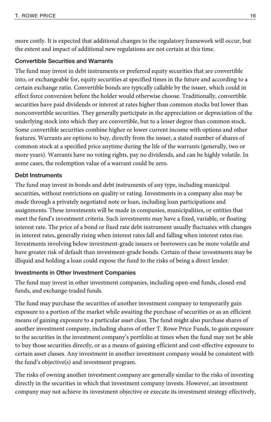more costly. It is expected that additional changes to the regulatory framework will occur, but the extent and impact of additional new regulations are not certain at this time.

### **Convertible Securities and Warrants**

The fund may invest in debt instruments or preferred equity securities that are convertible into, or exchangeable for, equity securities at specified times in the future and according to a certain exchange ratio. Convertible bonds are typically callable by the issuer, which could in effect force conversion before the holder would otherwise choose. Traditionally, convertible securities have paid dividends or interest at rates higher than common stocks but lower than nonconvertible securities. They generally participate in the appreciation or depreciation of the underlying stock into which they are convertible, but to a lesser degree than common stock. Some convertible securities combine higher or lower current income with options and other features. Warrants are options to buy, directly from the issuer, a stated number of shares of common stock at a specified price anytime during the life of the warrants (generally, two or more years). Warrants have no voting rights, pay no dividends, and can be highly volatile. In some cases, the redemption value of a warrant could be zero.

### **Debt Instruments**

The fund may invest in bonds and debt instruments of any type, including municipal securities, without restrictions on quality or rating. Investments in a company also may be made through a privately negotiated note or loan, including loan participations and assignments. These investments will be made in companies, municipalities, or entities that meet the fund's investment criteria. Such investments may have a fixed, variable, or floating interest rate. The price of a bond or fixed rate debt instrument usually fluctuates with changes in interest rates, generally rising when interest rates fall and falling when interest rates rise. Investments involving below investment-grade issuers or borrowers can be more volatile and have greater risk of default than investment-grade bonds. Certain of these investments may be illiquid and holding a loan could expose the fund to the risks of being a direct lender.

### **Investments in Other Investment Companies**

The fund may invest in other investment companies, including open-end funds, closed-end funds, and exchange-traded funds.

The fund may purchase the securities of another investment company to temporarily gain exposure to a portion of the market while awaiting the purchase of securities or as an efficient means of gaining exposure to a particular asset class. The fund might also purchase shares of another investment company, including shares of other T. Rowe Price Funds, to gain exposure to the securities in the investment company's portfolio at times when the fund may not be able to buy those securities directly, or as a means of gaining efficient and cost-effective exposure to certain asset classes. Any investment in another investment company would be consistent with the fund's objective(s) and investment program.

The risks of owning another investment company are generally similar to the risks of investing directly in the securities in which that investment company invests. However, an investment company may not achieve its investment objective or execute its investment strategy effectively,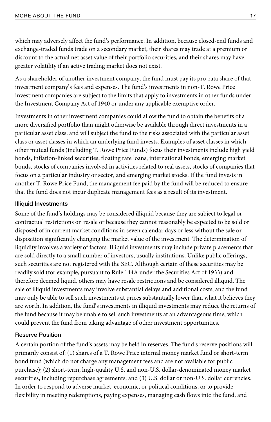which may adversely affect the fund's performance. In addition, because closed-end funds and exchange-traded funds trade on a secondary market, their shares may trade at a premium or discount to the actual net asset value of their portfolio securities, and their shares may have greater volatility if an active trading market does not exist.

As a shareholder of another investment company, the fund must pay its pro-rata share of that investment company's fees and expenses. The fund's investments in non-T. Rowe Price investment companies are subject to the limits that apply to investments in other funds under the Investment Company Act of 1940 or under any applicable exemptive order.

Investments in other investment companies could allow the fund to obtain the benefits of a more diversified portfolio than might otherwise be available through direct investments in a particular asset class, and will subject the fund to the risks associated with the particular asset class or asset classes in which an underlying fund invests. Examples of asset classes in which other mutual funds (including T. Rowe Price Funds) focus their investments include high yield bonds, inflation-linked securities, floating rate loans, international bonds, emerging market bonds, stocks of companies involved in activities related to real assets, stocks of companies that focus on a particular industry or sector, and emerging market stocks. If the fund invests in another T. Rowe Price Fund, the management fee paid by the fund will be reduced to ensure that the fund does not incur duplicate management fees as a result of its investment.

### **Illiquid Investments**

Some of the fund's holdings may be considered illiquid because they are subject to legal or contractual restrictions on resale or because they cannot reasonably be expected to be sold or disposed of in current market conditions in seven calendar days or less without the sale or disposition significantly changing the market value of the investment. The determination of liquidity involves a variety of factors. Illiquid investments may include private placements that are sold directly to a small number of investors, usually institutions. Unlike public offerings, such securities are not registered with the SEC. Although certain of these securities may be readily sold (for example, pursuant to Rule 144A under the Securities Act of 1933) and therefore deemed liquid, others may have resale restrictions and be considered illiquid. The sale of illiquid investments may involve substantial delays and additional costs, and the fund may only be able to sell such investments at prices substantially lower than what it believes they are worth. In addition, the fund's investments in illiquid investments may reduce the returns of the fund because it may be unable to sell such investments at an advantageous time, which could prevent the fund from taking advantage of other investment opportunities.

### **Reserve Position**

A certain portion of the fund's assets may be held in reserves. The fund's reserve positions will primarily consist of: (1) shares of a T. Rowe Price internal money market fund or short-term bond fund (which do not charge any management fees and are not available for public purchase); (2) short-term, high-quality U.S. and non-U.S. dollar-denominated money market securities, including repurchase agreements; and (3) U.S. dollar or non-U.S. dollar currencies. In order to respond to adverse market, economic, or political conditions, or to provide flexibility in meeting redemptions, paying expenses, managing cash flows into the fund, and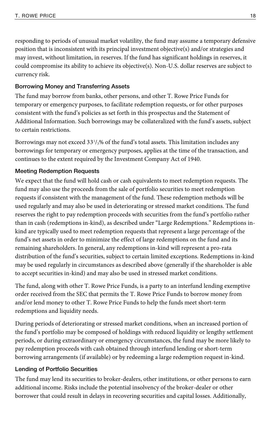responding to periods of unusual market volatility, the fund may assume a temporary defensive position that is inconsistent with its principal investment objective(s) and/or strategies and may invest, without limitation, in reserves. If the fund has significant holdings in reserves, it could compromise its ability to achieve its objective(s). Non-U.S. dollar reserves are subject to currency risk.

### **Borrowing Money and Transferring Assets**

The fund may borrow from banks, other persons, and other T. Rowe Price Funds for temporary or emergency purposes, to facilitate redemption requests, or for other purposes consistent with the fund's policies as set forth in this prospectus and the Statement of Additional Information. Such borrowings may be collateralized with the fund's assets, subject to certain restrictions.

Borrowings may not exceed 33<sup>1</sup>/<sub>3</sub>% of the fund's total assets. This limitation includes any borrowings for temporary or emergency purposes, applies at the time of the transaction, and continues to the extent required by the Investment Company Act of 1940.

### **Meeting Redemption Requests**

We expect that the fund will hold cash or cash equivalents to meet redemption requests. The fund may also use the proceeds from the sale of portfolio securities to meet redemption requests if consistent with the management of the fund. These redemption methods will be used regularly and may also be used in deteriorating or stressed market conditions. The fund reserves the right to pay redemption proceeds with securities from the fund's portfolio rather than in cash (redemptions in-kind), as described under "Large Redemptions." Redemptions inkind are typically used to meet redemption requests that represent a large percentage of the fund's net assets in order to minimize the effect of large redemptions on the fund and its remaining shareholders. In general, any redemptions in-kind will represent a pro-rata distribution of the fund's securities, subject to certain limited exceptions. Redemptions in-kind may be used regularly in circumstances as described above (generally if the shareholder is able to accept securities in-kind) and may also be used in stressed market conditions.

The fund, along with other T. Rowe Price Funds, is a party to an interfund lending exemptive order received from the SEC that permits the T. Rowe Price Funds to borrow money from and/or lend money to other T. Rowe Price Funds to help the funds meet short-term redemptions and liquidity needs.

During periods of deteriorating or stressed market conditions, when an increased portion of the fund's portfolio may be composed of holdings with reduced liquidity or lengthy settlement periods, or during extraordinary or emergency circumstances, the fund may be more likely to pay redemption proceeds with cash obtained through interfund lending or short-term borrowing arrangements (if available) or by redeeming a large redemption request in-kind.

### **Lending of Portfolio Securities**

The fund may lend its securities to broker-dealers, other institutions, or other persons to earn additional income. Risks include the potential insolvency of the broker-dealer or other borrower that could result in delays in recovering securities and capital losses. Additionally,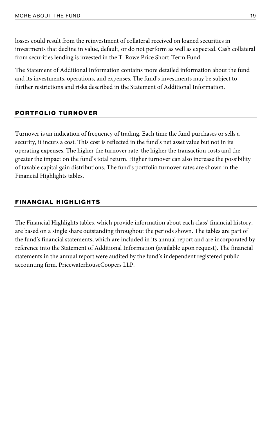losses could result from the reinvestment of collateral received on loaned securities in investments that decline in value, default, or do not perform as well as expected. Cash collateral from securities lending is invested in the T. Rowe Price Short-Term Fund.

The Statement of Additional Information contains more detailed information about the fund and its investments, operations, and expenses. The fund's investments may be subject to further restrictions and risks described in the Statement of Additional Information.

### PORTFOLIO TURNOVER

Turnover is an indication of frequency of trading. Each time the fund purchases or sells a security, it incurs a cost. This cost is reflected in the fund's net asset value but not in its operating expenses. The higher the turnover rate, the higher the transaction costs and the greater the impact on the fund's total return. Higher turnover can also increase the possibility of taxable capital gain distributions. The fund's portfolio turnover rates are shown in the Financial Highlights tables.

### FINANCIAL HIGHLIGHTS

The Financial Highlights tables, which provide information about each class' financial history, are based on a single share outstanding throughout the periods shown. The tables are part of the fund's financial statements, which are included in its annual report and are incorporated by reference into the Statement of Additional Information (available upon request). The financial statements in the annual report were audited by the fund's independent registered public accounting firm, PricewaterhouseCoopers LLP.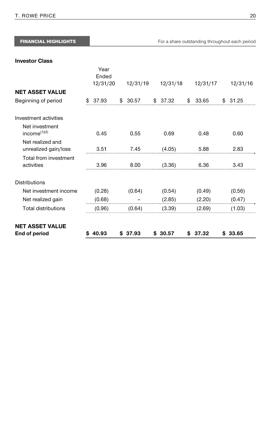| Investment activities                    |         |         |         |         |         |
|------------------------------------------|---------|---------|---------|---------|---------|
| Net investment<br>income $(1)(2)$        | 0.45    | 0.55    | 0.69    | 0.48    | 0.60    |
| Net realized and<br>unrealized gain/loss | 3.51    | 7.45    | (4.05)  | 5.88    | 2.83    |
| Total from investment<br>activities      | 3.96    | 8.00    | (3.36)  | 6.36    | 3.43    |
| <b>Distributions</b>                     |         |         |         |         |         |
| Net investment income                    | (0.28)  | (0.64)  | (0.54)  | (0.49)  | (0.56)  |
| Net realized gain                        | (0.68)  |         | (2.85)  | (2.20)  | (0.47)  |
| <b>Total distributions</b>               | (0.96)  | (0.64)  | (3.39)  | (2.69)  | (1.03)  |
| <b>NET ASSET VALUE</b>                   |         |         |         |         |         |
| End of period                            | \$40.93 | \$37.93 | \$30.57 | \$37.32 | \$33.65 |

FINANCIAL HIGHLIGHTS **FINANCIAL HIGHLIGHTS** For a share outstanding throughout each period

**Investor Class**

T. ROWE PRICE 20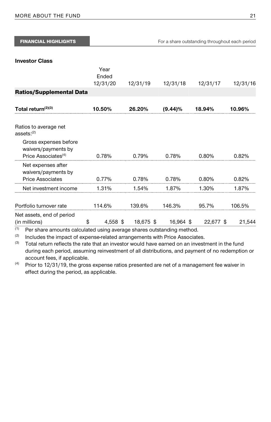| <b>FINANCIAL HIGHLIGHTS</b>                                                                                               |                                        |                                  |          | For a share outstanding throughout each period |          |
|---------------------------------------------------------------------------------------------------------------------------|----------------------------------------|----------------------------------|----------|------------------------------------------------|----------|
| <b>Investor Class</b>                                                                                                     | Year                                   |                                  |          |                                                |          |
|                                                                                                                           | Ended<br>12/31/20                      | 12/31/19                         | 12/31/18 | 12/31/17                                       | 12/31/16 |
| <b>Ratios/Supplemental Data</b>                                                                                           |                                        |                                  |          |                                                |          |
| Total return $(2)(3)$                                                                                                     |                                        | $10.50\%$ 26.20% (9.44)% 18.94%  |          |                                                | 10.96%   |
| Ratios to average net<br>assets: (2)                                                                                      |                                        |                                  |          |                                                |          |
| Gross expenses before<br>waivers/payments by<br>Price Associates <sup>(4)</sup>                                           |                                        | $0.78\%$ 0.79% 0.78% 0.80%       |          |                                                | 0.82%    |
| Net expenses after<br>waivers/payments by<br><b>Price Associates</b>                                                      |                                        | $0.77\%$ 0.78% 0.78% 0.80% 0.82% |          |                                                |          |
| Net investment income $1.31\%$ $1.54\%$ $1.87\%$ $1.30\%$ $1.87\%$                                                        |                                        |                                  |          |                                                |          |
| Portfolio turnover rate $114.6\%$ $139.6\%$ $146.3\%$ $95.7\%$                                                            |                                        |                                  |          |                                                | 106.5%   |
| Net assets, end of period<br>(in millions)<br>(1)<br>Ber share amounts coloulated using oversee shares outstanding method | $$4,558$ \$18,675 \$16,964 \$22,677 \$ |                                  |          |                                                | 21,544   |

 $^{(1)}$  Per share amounts calculated using average shares outstanding method.<br> $^{(2)}$  Includes the impact of expense-related arrangements with Price Associates.<br> $^{(3)}$  Total return reflects the rate that an investor would h during each period, assuming reinvestment of all distributions, and payment of no redemption or account fees, if applicable.<br>
<sup>(4)</sup> Prior to 12/31/19, the gross expense ratios presented are net of a management fee waiver in

effect during the period, as applicable.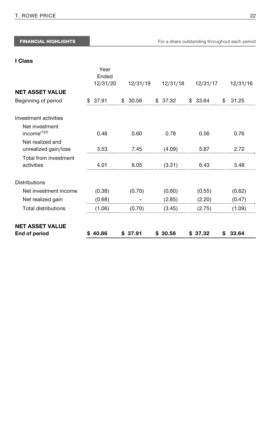|                            | 12/31/20 | 12/31/19 | 12/31/18 | 12/31/17 | 12/31/16 |
|----------------------------|----------|----------|----------|----------|----------|
| <b>NET ASSET VALUE</b>     |          |          |          |          |          |
| Beginning of period        | \$37.91  | \$30.56  | \$37.32  | \$33.64  | \$31.25  |
|                            |          |          |          |          |          |
| Investment activities      |          |          |          |          |          |
| Net investment             |          |          |          |          |          |
| income $(1)(2)$            | 0.48     | 0.60     | 0.78     | 0.56     | 0.76     |
| Net realized and           |          |          |          |          |          |
| unrealized gain/loss       | 3.53     | 7.45     | (4.09)   | 5.87     | 2.72     |
| Total from investment      |          |          |          |          |          |
| activities                 | 4.01     | 8.05     | (3.31)   | 6.43     | 3.48     |
| <b>Distributions</b>       |          |          |          |          |          |
| Net investment income      | (0.38)   | (0.70)   | (0.60)   | (0.55)   | (0.62)   |
| Net realized gain          | (0.68)   |          | (2.85)   | (2.20)   | (0.47)   |
| <b>Total distributions</b> | (1.06)   | (0.70)   | (3.45)   | (2.75)   | (1.09)   |
| <b>NET ASSET VALUE</b>     |          |          |          |          |          |
| End of period              | \$40.86  | \$37.91  | \$30.56  | \$37.32  | \$33.64  |

Year Ended

#### **I Class**

T. ROWE PRICE 22

FINANCIAL HIGHLIGHTS **FINANCIAL HIGHLIGHTS For a share outstanding throughout each period**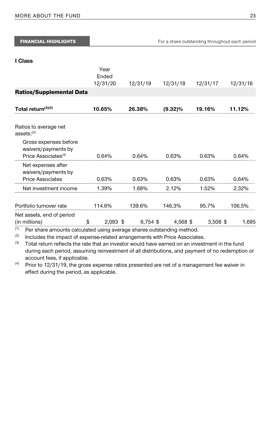| <b>FINANCIAL HIGHLIGHTS</b>                                                                                               |                           |          | For a share outstanding throughout each period |            |          |
|---------------------------------------------------------------------------------------------------------------------------|---------------------------|----------|------------------------------------------------|------------|----------|
| I Class                                                                                                                   | Year<br>Ended<br>12/31/20 | 12/31/19 | 12/31/18                                       | 12/31/17   | 12/31/16 |
| <b>Ratios/Supplemental Data</b>                                                                                           |                           |          |                                                |            |          |
| Total return $(2)(3)$                                                                                                     | 10.65%                    | 26.38%   | $(9.32)\%$                                     | 19.16%     | 11.12%   |
| Ratios to average net<br>assets: (2)                                                                                      |                           |          |                                                |            |          |
| Gross expenses before<br>waivers/payments by<br>Price Associates <sup>(4)</sup>                                           | 0.64%                     | 0.64%    | 0.63%                                          | 0.63%      | 0.64%    |
| Net expenses after<br>waivers/payments by<br><b>Price Associates</b>                                                      | 0.63%                     | 0.63%    | 0.63%                                          | 0.63%      | 0.64%    |
| Net investment income                                                                                                     | 1.39%                     | 1.68%    | 2.12%                                          | 1.52%      | 2.32%    |
| Portfolio turnover rate                                                                                                   | 114.6%                    | 139.6%   | 146.3%                                         | 95.7%      | 106.5%   |
| Net assets, end of period<br>(in millions)<br>(1)<br>Per share amounts calculated using average shares outstanding method | $\mathbb{S}$              |          | $2,093$ \$ 6,754 \$ 4,568 \$                   | $3,508$ \$ | 1,695    |

 $^{(1)}$  Per share amounts calculated using average shares outstanding method.<br> $^{(2)}$  Includes the impact of expense-related arrangements with Price Associates.<br> $^{(3)}$  Total return reflects the rate that an investor would h during each period, assuming reinvestment of all distributions, and payment of no redemption or account fees, if applicable.<br>
<sup>(4)</sup> Prior to 12/31/19, the gross expense ratios presented are net of a management fee waiver in

effect during the period, as applicable.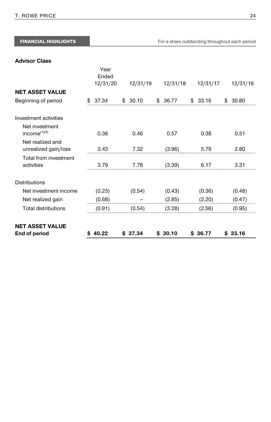|                              | 12/31/20 | 12/31/19 | 12/31/18 | 12/31/17 | 12/31/16 |
|------------------------------|----------|----------|----------|----------|----------|
| NET ASSET VALUE              |          |          |          |          |          |
| Beginning of period          | \$37.34  | \$30.10  | \$36.77  | \$33.16  | \$30.80  |
| <b>Investment activities</b> |          |          |          |          |          |
| Net investment               |          |          |          |          |          |
| $income^{(1)(2)}$            | 0.36     | 0.46     | 0.57     | 0.38     | 0.51     |
| Net realized and             |          |          |          |          |          |
| unrealized gain/loss         | 3.43     | 7.32     | (3.96)   | 5.79     | 2.80     |
| Total from investment        |          |          |          |          |          |
| activities                   | 3.79     | 7.78     | (3.39)   | 6.17     | 3.31     |
| Distributions                |          |          |          |          |          |
| Net investment income        | (0.23)   | (0.54)   | (0.43)   | (0.36)   | (0.48)   |
| Net realized gain            | (0.68)   |          | (2.85)   | (2.20)   | (0.47)   |
| <b>Total distributions</b>   | (0.91)   | (0.54)   | (3.28)   | (2.56)   | (0.95)   |
| NET ASSET VALUE              |          |          |          |          |          |
| End of period                | \$40.22  | \$37.34  | \$30.10  | \$36.77  | \$33.16  |

Year

### **Advisor Class**

FINANCIAL HIGHLIGHTS **FINANCIAL HIGHLIGHTS** For a share outstanding throughout each period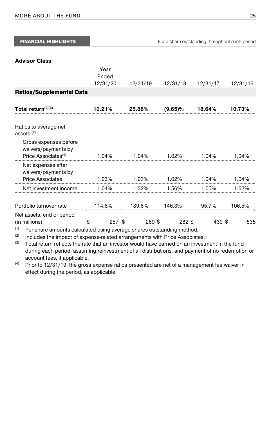| <b>FINANCIAL HIGHLIGHTS</b>                                                                                                |                                                    |          |            | For a share outstanding throughout each period |          |
|----------------------------------------------------------------------------------------------------------------------------|----------------------------------------------------|----------|------------|------------------------------------------------|----------|
| <b>Advisor Class</b>                                                                                                       | Year<br>Ended<br>12/31/20                          | 12/31/19 | 12/31/18   | 12/31/17                                       | 12/31/16 |
| <b>Ratios/Supplemental Data</b>                                                                                            |                                                    |          |            |                                                |          |
| Total return <sup>(2)(3)</sup>                                                                                             | 10.21%                                             | 25.88%   | $(9.65)\%$ | 18.64%                                         | 10.73%   |
| Ratios to average net<br>assets: <sup>(2)</sup>                                                                            |                                                    |          |            |                                                |          |
| Gross expenses before<br>waivers/payments by<br>Price Associates <sup>(4)</sup>                                            | 1.04%                                              | 1.04%    | 1.02%      | 1.04%                                          | 1.04%    |
| Net expenses after<br>waivers/payments by<br><b>Price Associates</b>                                                       | 1.03%                                              | 1.03%    | 1.02%      | 1.04%                                          | 1.04%    |
| Net investment income                                                                                                      | 1.04%                                              | 1.32%    | 1.56%      | 1.05%                                          | 1.62%    |
| Portfolio turnover rate                                                                                                    | 114.6%                                             | 139.6%   | 146.3%     | 95.7%                                          | 106.5%   |
| Net assets, end of period<br>(in millions)<br>(1)<br>Per share amounts calculated using average shares outstanding method. | $\mathbb{S}$ . The set of $\mathbb{S}$<br>$257$ \$ | 269 \$   | 282 \$     | 439 \$                                         | 535      |

(2) Includes the impact of expense-related arrangements with Price Associates.<br>(3) Total return reflects the rate that an investor would have earned on an investment in the fund during each period, assuming reinvestment of all distributions, and payment of no redemption or

account fees, if applicable.<br>
<sup>(4)</sup> Prior to 12/31/19, the gross expense ratios presented are net of a management fee waiver in effect during the period, as applicable.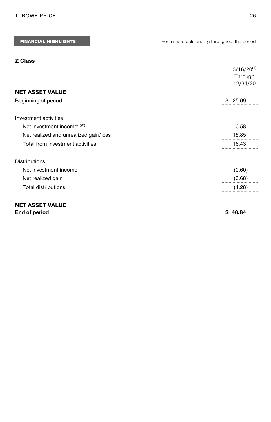#### **Z Class**

|                                         | $3/16/20^{(1)}$<br>Through<br>12/31/20 |
|-----------------------------------------|----------------------------------------|
| <b>NET ASSET VALUE</b>                  |                                        |
| Beginning of period                     | \$25.69                                |
| Investment activities                   |                                        |
| Net investment income <sup>(2)(3)</sup> | 0.58                                   |
| Net realized and unrealized gain/loss   | 15.85                                  |
| Total from investment activities        | 16.43                                  |
| <b>Distributions</b>                    |                                        |
| Net investment income                   | (0.60)                                 |
| Net realized gain                       | (0.68)                                 |
| <b>Total distributions</b>              | (1.28)                                 |
| <b>NET ASSET VALUE</b><br>End of period | \$40.84                                |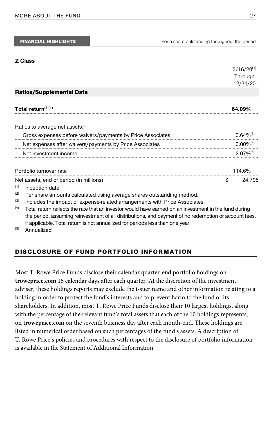#### **Z Class**

|     |                                                                                                       | $3/16/20^{(1)}$<br>Through<br>12/31/20 |
|-----|-------------------------------------------------------------------------------------------------------|----------------------------------------|
|     | <b>Ratios/Supplemental Data</b>                                                                       |                                        |
|     | Total return $(3)(4)$                                                                                 | 64.09%                                 |
|     | Ratios to average net assets: <sup>(3)</sup>                                                          |                                        |
|     | Gross expenses before waivers/payments by Price Associates                                            | $0.64\%^{(5)}$                         |
|     | Net expenses after waivers/payments by Price Associates                                               | $0.00\%^{(5)}$                         |
|     | Net investment income                                                                                 | $2.07\%^{(5)}$                         |
|     | Portfolio turnover rate                                                                               | 114.6%                                 |
|     | Net assets, end of period (in millions)                                                               | \$<br>24.795                           |
| (1) | Inception date                                                                                        |                                        |
| (2) | Per share amounts calculated using average shares outstanding method.                                 |                                        |
| (3) | Includes the impact of expense-related arrangements with Price Associates.                            |                                        |
| (4) | Total return reflects the rate that an investor would have earned on an investment in the fund during |                                        |

the period, assuming reinvestment of all distributions, and payment of no redemption or account fees, if applicable. Total return is not annualized for periods less than one year.<br><sup>(5)</sup> Annualized

### DISCLOSURE OF FUND PORTFOLIO INFORMATION

Most T. Rowe Price Funds disclose their calendar quarter-end portfolio holdings on **troweprice.com** 15 calendar days after each quarter. At the discretion of the investment adviser, these holdings reports may exclude the issuer name and other information relating to a holding in order to protect the fund's interests and to prevent harm to the fund or its shareholders. In addition, most T. Rowe Price Funds disclose their 10 largest holdings, along with the percentage of the relevant fund's total assets that each of the 10 holdings represents, on **troweprice.com** on the seventh business day after each month-end. These holdings are listed in numerical order based on such percentages of the fund's assets. A description of T. Rowe Price's policies and procedures with respect to the disclosure of portfolio information is available in the Statement of Additional Information.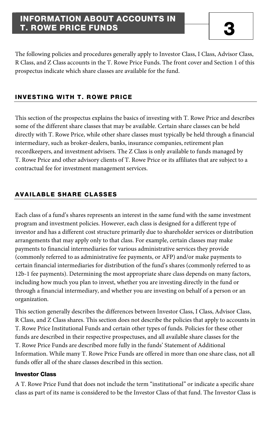### INFORMATION ABOUT ACCOUNTS IN **T. ROWE PRICE FUNDS**

The following policies and procedures generally apply to Investor Class, I Class, Advisor Class, R Class, and Z Class accounts in the T. Rowe Price Funds. The front cover and Section 1 of this prospectus indicate which share classes are available for the fund.

### INVESTING WITH T. ROWE PRICE

This section of the prospectus explains the basics of investing with T. Rowe Price and describes some of the different share classes that may be available. Certain share classes can be held directly with T. Rowe Price, while other share classes must typically be held through a financial intermediary, such as broker-dealers, banks, insurance companies, retirement plan recordkeepers, and investment advisers. The Z Class is only available to funds managed by T. Rowe Price and other advisory clients of T. Rowe Price or its affiliates that are subject to a contractual fee for investment management services.

### AVAILABLE SHARE CLASSES

Each class of a fund's shares represents an interest in the same fund with the same investment program and investment policies. However, each class is designed for a different type of investor and has a different cost structure primarily due to shareholder services or distribution arrangements that may apply only to that class. For example, certain classes may make payments to financial intermediaries for various administrative services they provide (commonly referred to as administrative fee payments, or AFP) and/or make payments to certain financial intermediaries for distribution of the fund's shares (commonly referred to as 12b-1 fee payments). Determining the most appropriate share class depends on many factors, including how much you plan to invest, whether you are investing directly in the fund or through a financial intermediary, and whether you are investing on behalf of a person or an organization.

This section generally describes the differences between Investor Class, I Class, Advisor Class, R Class, and Z Class shares. This section does not describe the policies that apply to accounts in T. Rowe Price Institutional Funds and certain other types of funds. Policies for these other funds are described in their respective prospectuses, and all available share classes for the T. Rowe Price Funds are described more fully in the funds' Statement of Additional Information. While many T. Rowe Price Funds are offered in more than one share class, not all funds offer all of the share classes described in this section.

### Investor Class

A T. Rowe Price Fund that does not include the term "institutional" or indicate a specific share class as part of its name is considered to be the Investor Class of that fund. The Investor Class is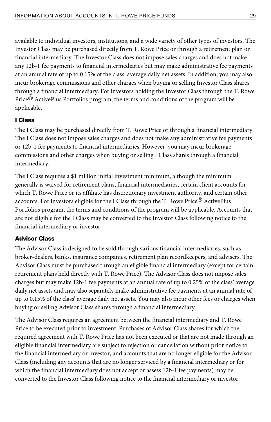available to individual investors, institutions, and a wide variety of other types of investors. The Investor Class may be purchased directly from T. Rowe Price or through a retirement plan or financial intermediary. The Investor Class does not impose sales charges and does not make any 12b-1 fee payments to financial intermediaries but may make administrative fee payments at an annual rate of up to 0.15% of the class' average daily net assets. In addition, you may also incur brokerage commissions and other charges when buying or selling Investor Class shares through a financial intermediary. For investors holding the Investor Class through the T. Rowe Price<sup>®</sup> ActivePlus Portfolios program, the terms and conditions of the program will be applicable.

### I Class

The I Class may be purchased directly from T. Rowe Price or through a financial intermediary. The I Class does not impose sales charges and does not make any administrative fee payments or 12b-1 fee payments to financial intermediaries. However, you may incur brokerage commissions and other charges when buying or selling I Class shares through a financial intermediary.

The I Class requires a \$1 million initial investment minimum, although the minimum generally is waived for retirement plans, financial intermediaries, certain client accounts for which T. Rowe Price or its affiliate has discretionary investment authority, and certain other accounts. For investors eligible for the I Class through the T. Rowe Price<sup>®</sup> ActivePlus Portfolios program, the terms and conditions of the program will be applicable. Accounts that are not eligible for the I Class may be converted to the Investor Class following notice to the financial intermediary or investor.

### Advisor Class

The Advisor Class is designed to be sold through various financial intermediaries, such as broker-dealers, banks, insurance companies, retirement plan recordkeepers, and advisers. The Advisor Class must be purchased through an eligible financial intermediary (except for certain retirement plans held directly with T. Rowe Price). The Advisor Class does not impose sales charges but may make 12b-1 fee payments at an annual rate of up to 0.25% of the class' average daily net assets and may also separately make administrative fee payments at an annual rate of up to 0.15% of the class' average daily net assets. You may also incur other fees or charges when buying or selling Advisor Class shares through a financial intermediary.

The Advisor Class requires an agreement between the financial intermediary and T. Rowe Price to be executed prior to investment. Purchases of Advisor Class shares for which the required agreement with T. Rowe Price has not been executed or that are not made through an eligible financial intermediary are subject to rejection or cancellation without prior notice to the financial intermediary or investor, and accounts that are no longer eligible for the Advisor Class (including any accounts that are no longer serviced by a financial intermediary or for which the financial intermediary does not accept or assess 12b-1 fee payments) may be converted to the Investor Class following notice to the financial intermediary or investor.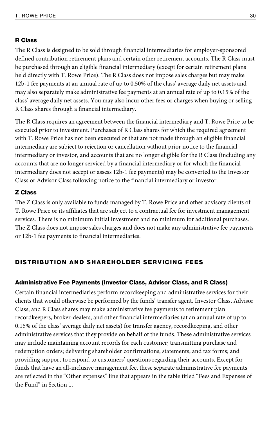### R Class

The R Class is designed to be sold through financial intermediaries for employer-sponsored defined contribution retirement plans and certain other retirement accounts. The R Class must be purchased through an eligible financial intermediary (except for certain retirement plans held directly with T. Rowe Price). The R Class does not impose sales charges but may make 12b-1 fee payments at an annual rate of up to 0.50% of the class' average daily net assets and may also separately make administrative fee payments at an annual rate of up to 0.15% of the class' average daily net assets. You may also incur other fees or charges when buying or selling R Class shares through a financial intermediary.

The R Class requires an agreement between the financial intermediary and T. Rowe Price to be executed prior to investment. Purchases of R Class shares for which the required agreement with T. Rowe Price has not been executed or that are not made through an eligible financial intermediary are subject to rejection or cancellation without prior notice to the financial intermediary or investor, and accounts that are no longer eligible for the R Class (including any accounts that are no longer serviced by a financial intermediary or for which the financial intermediary does not accept or assess 12b-1 fee payments) may be converted to the Investor Class or Advisor Class following notice to the financial intermediary or investor.

#### Z Class

The Z Class is only available to funds managed by T. Rowe Price and other advisory clients of T. Rowe Price or its affiliates that are subject to a contractual fee for investment management services. There is no minimum initial investment and no minimum for additional purchases. The Z Class does not impose sales charges and does not make any administrative fee payments or 12b-1 fee payments to financial intermediaries.

#### DISTRIBUTION AND SHAREHOLDER SERVICING FEES

#### Administrative Fee Payments (Investor Class, Advisor Class, and R Class)

Certain financial intermediaries perform recordkeeping and administrative services for their clients that would otherwise be performed by the funds' transfer agent. Investor Class, Advisor Class, and R Class shares may make administrative fee payments to retirement plan recordkeepers, broker-dealers, and other financial intermediaries (at an annual rate of up to 0.15% of the class' average daily net assets) for transfer agency, recordkeeping, and other administrative services that they provide on behalf of the funds. These administrative services may include maintaining account records for each customer; transmitting purchase and redemption orders; delivering shareholder confirmations, statements, and tax forms; and providing support to respond to customers' questions regarding their accounts. Except for funds that have an all-inclusive management fee, these separate administrative fee payments are reflected in the "Other expenses" line that appears in the table titled "Fees and Expenses of the Fund" in Section 1.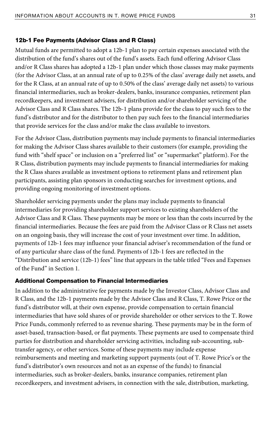#### 12b-1 Fee Payments (Advisor Class and R Class)

Mutual funds are permitted to adopt a 12b-1 plan to pay certain expenses associated with the distribution of the fund's shares out of the fund's assets. Each fund offering Advisor Class and/or R Class shares has adopted a 12b-1 plan under which those classes may make payments (for the Advisor Class, at an annual rate of up to 0.25% of the class' average daily net assets, and for the R Class, at an annual rate of up to 0.50% of the class' average daily net assets) to various financial intermediaries, such as broker-dealers, banks, insurance companies, retirement plan recordkeepers, and investment advisers, for distribution and/or shareholder servicing of the Advisor Class and R Class shares. The 12b-1 plans provide for the class to pay such fees to the fund's distributor and for the distributor to then pay such fees to the financial intermediaries that provide services for the class and/or make the class available to investors.

For the Advisor Class, distribution payments may include payments to financial intermediaries for making the Advisor Class shares available to their customers (for example, providing the fund with "shelf space" or inclusion on a "preferred list" or "supermarket" platform). For the R Class, distribution payments may include payments to financial intermediaries for making the R Class shares available as investment options to retirement plans and retirement plan participants, assisting plan sponsors in conducting searches for investment options, and providing ongoing monitoring of investment options.

Shareholder servicing payments under the plans may include payments to financial intermediaries for providing shareholder support services to existing shareholders of the Advisor Class and R Class. These payments may be more or less than the costs incurred by the financial intermediaries. Because the fees are paid from the Advisor Class or R Class net assets on an ongoing basis, they will increase the cost of your investment over time. In addition, payments of 12b-1 fees may influence your financial adviser's recommendation of the fund or of any particular share class of the fund. Payments of 12b-1 fees are reflected in the "Distribution and service (12b-1) fees" line that appears in the table titled "Fees and Expenses of the Fund" in Section 1.

#### Additional Compensation to Financial Intermediaries

In addition to the administrative fee payments made by the Investor Class, Advisor Class and R Class, and the 12b-1 payments made by the Advisor Class and R Class, T. Rowe Price or the fund's distributor will, at their own expense, provide compensation to certain financial intermediaries that have sold shares of or provide shareholder or other services to the T. Rowe Price Funds, commonly referred to as revenue sharing. These payments may be in the form of asset-based, transaction-based, or flat payments. These payments are used to compensate third parties for distribution and shareholder servicing activities, including sub-accounting, subtransfer agency, or other services. Some of these payments may include expense reimbursements and meeting and marketing support payments (out of T. Rowe Price's or the fund's distributor's own resources and not as an expense of the funds) to financial intermediaries, such as broker-dealers, banks, insurance companies, retirement plan recordkeepers, and investment advisers, in connection with the sale, distribution, marketing,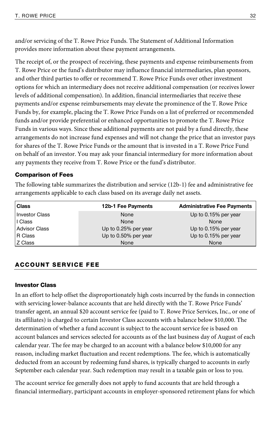and/or servicing of the T. Rowe Price Funds. The Statement of Additional Information provides more information about these payment arrangements.

The receipt of, or the prospect of receiving, these payments and expense reimbursements from T. Rowe Price or the fund's distributor may influence financial intermediaries, plan sponsors, and other third parties to offer or recommend T. Rowe Price Funds over other investment options for which an intermediary does not receive additional compensation (or receives lower levels of additional compensation). In addition, financial intermediaries that receive these payments and/or expense reimbursements may elevate the prominence of the T. Rowe Price Funds by, for example, placing the T. Rowe Price Funds on a list of preferred or recommended funds and/or provide preferential or enhanced opportunities to promote the T. Rowe Price Funds in various ways. Since these additional payments are not paid by a fund directly, these arrangements do not increase fund expenses and will not change the price that an investor pays for shares of the T. Rowe Price Funds or the amount that is invested in a T. Rowe Price Fund on behalf of an investor. You may ask your financial intermediary for more information about any payments they receive from T. Rowe Price or the fund's distributor.

### Comparison of Fees

The following table summarizes the distribution and service (12b-1) fee and administrative fee arrangements applicable to each class based on its average daily net assets.

| <b>Class</b>          | 12b-1 Fee Payments   | <b>Administrative Fee Payments</b> |
|-----------------------|----------------------|------------------------------------|
| <b>Investor Class</b> | None                 | Up to 0.15% per year               |
| I Class               | None                 | None                               |
| <b>Advisor Class</b>  | Up to 0.25% per year | Up to 0.15% per year               |
| R Class               | Up to 0.50% per year | Up to 0.15% per year               |
| Z Class               | None                 | None                               |

### ACCOUNT SERVICE FEE

#### Investor Class

In an effort to help offset the disproportionately high costs incurred by the funds in connection with servicing lower-balance accounts that are held directly with the T. Rowe Price Funds' transfer agent, an annual \$20 account service fee (paid to T. Rowe Price Services, Inc., or one of its affiliates) is charged to certain Investor Class accounts with a balance below \$10,000. The determination of whether a fund account is subject to the account service fee is based on account balances and services selected for accounts as of the last business day of August of each calendar year. The fee may be charged to an account with a balance below \$10,000 for any reason, including market fluctuation and recent redemptions. The fee, which is automatically deducted from an account by redeeming fund shares, is typically charged to accounts in early September each calendar year. Such redemption may result in a taxable gain or loss to you.

The account service fee generally does not apply to fund accounts that are held through a financial intermediary, participant accounts in employer-sponsored retirement plans for which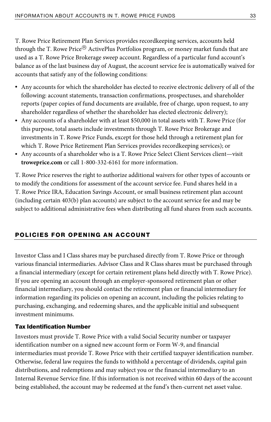T. Rowe Price Retirement Plan Services provides recordkeeping services, accounts held through the T. Rowe Price $^{\circledR}$  ActivePlus Portfolios program, or money market funds that are used as a T. Rowe Price Brokerage sweep account. Regardless of a particular fund account's balance as of the last business day of August, the account service fee is automatically waived for accounts that satisfy any of the following conditions:

- Any accounts for which the shareholder has elected to receive electronic delivery of all of the following: account statements, transaction confirmations, prospectuses, and shareholder reports (paper copies of fund documents are available, free of charge, upon request, to any shareholder regardless of whether the shareholder has elected electronic delivery);
- Any accounts of a shareholder with at least \$50,000 in total assets with T. Rowe Price (for this purpose, total assets include investments through T. Rowe Price Brokerage and investments in T. Rowe Price Funds, except for those held through a retirement plan for which T. Rowe Price Retirement Plan Services provides recordkeeping services); or
- Any accounts of a shareholder who is a T. Rowe Price Select Client Services client—visit **troweprice.com** or call 1-800-332-6161 for more information.

T. Rowe Price reserves the right to authorize additional waivers for other types of accounts or to modify the conditions for assessment of the account service fee. Fund shares held in a T. Rowe Price IRA, Education Savings Account, or small business retirement plan account (including certain 403(b) plan accounts) are subject to the account service fee and may be subject to additional administrative fees when distributing all fund shares from such accounts.

### POLICIES FOR OPENING AN ACCOUNT

Investor Class and I Class shares may be purchased directly from T. Rowe Price or through various financial intermediaries. Advisor Class and R Class shares must be purchased through a financial intermediary (except for certain retirement plans held directly with T. Rowe Price). If you are opening an account through an employer-sponsored retirement plan or other financial intermediary, you should contact the retirement plan or financial intermediary for information regarding its policies on opening an account, including the policies relating to purchasing, exchanging, and redeeming shares, and the applicable initial and subsequent investment minimums.

### Tax Identification Number

Investors must provide T. Rowe Price with a valid Social Security number or taxpayer identification number on a signed new account form or Form W-9, and financial intermediaries must provide T. Rowe Price with their certified taxpayer identification number. Otherwise, federal law requires the funds to withhold a percentage of dividends, capital gain distributions, and redemptions and may subject you or the financial intermediary to an Internal Revenue Service fine. If this information is not received within 60 days of the account being established, the account may be redeemed at the fund's then-current net asset value.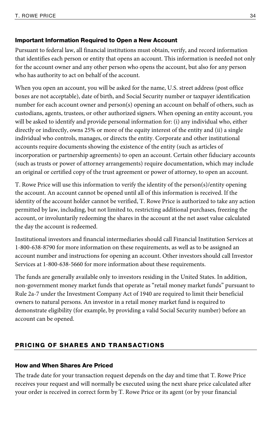### Important Information Required to Open a New Account

Pursuant to federal law, all financial institutions must obtain, verify, and record information that identifies each person or entity that opens an account. This information is needed not only for the account owner and any other person who opens the account, but also for any person who has authority to act on behalf of the account.

When you open an account, you will be asked for the name, U.S. street address (post office boxes are not acceptable), date of birth, and Social Security number or taxpayer identification number for each account owner and person(s) opening an account on behalf of others, such as custodians, agents, trustees, or other authorized signers. When opening an entity account, you will be asked to identify and provide personal information for: (i) any individual who, either directly or indirectly, owns 25% or more of the equity interest of the entity and (ii) a single individual who controls, manages, or directs the entity. Corporate and other institutional accounts require documents showing the existence of the entity (such as articles of incorporation or partnership agreements) to open an account. Certain other fiduciary accounts (such as trusts or power of attorney arrangements) require documentation, which may include an original or certified copy of the trust agreement or power of attorney, to open an account.

T. Rowe Price will use this information to verify the identity of the person(s)/entity opening the account. An account cannot be opened until all of this information is received. If the identity of the account holder cannot be verified, T. Rowe Price is authorized to take any action permitted by law, including, but not limited to, restricting additional purchases, freezing the account, or involuntarily redeeming the shares in the account at the net asset value calculated the day the account is redeemed.

Institutional investors and financial intermediaries should call Financial Institution Services at 1-800-638-8790 for more information on these requirements, as well as to be assigned an account number and instructions for opening an account. Other investors should call Investor Services at 1-800-638-5660 for more information about these requirements.

The funds are generally available only to investors residing in the United States. In addition, non-government money market funds that operate as "retail money market funds" pursuant to Rule 2a-7 under the Investment Company Act of 1940 are required to limit their beneficial owners to natural persons. An investor in a retail money market fund is required to demonstrate eligibility (for example, by providing a valid Social Security number) before an account can be opened.

### PRICING OF SHARES AND TRANSACTIONS

### How and When Shares Are Priced

The trade date for your transaction request depends on the day and time that T. Rowe Price receives your request and will normally be executed using the next share price calculated after your order is received in correct form by T. Rowe Price or its agent (or by your financial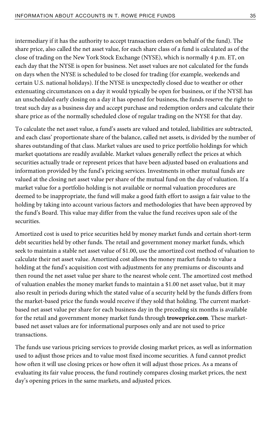intermediary if it has the authority to accept transaction orders on behalf of the fund). The share price, also called the net asset value, for each share class of a fund is calculated as of the close of trading on the New York Stock Exchange (NYSE), which is normally 4 p.m. ET, on each day that the NYSE is open for business. Net asset values are not calculated for the funds on days when the NYSE is scheduled to be closed for trading (for example, weekends and certain U.S. national holidays). If the NYSE is unexpectedly closed due to weather or other extenuating circumstances on a day it would typically be open for business, or if the NYSE has an unscheduled early closing on a day it has opened for business, the funds reserve the right to treat such day as a business day and accept purchase and redemption orders and calculate their share price as of the normally scheduled close of regular trading on the NYSE for that day.

To calculate the net asset value, a fund's assets are valued and totaled, liabilities are subtracted, and each class' proportionate share of the balance, called net assets, is divided by the number of shares outstanding of that class. Market values are used to price portfolio holdings for which market quotations are readily available. Market values generally reflect the prices at which securities actually trade or represent prices that have been adjusted based on evaluations and information provided by the fund's pricing services. Investments in other mutual funds are valued at the closing net asset value per share of the mutual fund on the day of valuation. If a market value for a portfolio holding is not available or normal valuation procedures are deemed to be inappropriate, the fund will make a good faith effort to assign a fair value to the holding by taking into account various factors and methodologies that have been approved by the fund's Board. This value may differ from the value the fund receives upon sale of the securities.

Amortized cost is used to price securities held by money market funds and certain short-term debt securities held by other funds. The retail and government money market funds, which seek to maintain a stable net asset value of \$1.00, use the amortized cost method of valuation to calculate their net asset value. Amortized cost allows the money market funds to value a holding at the fund's acquisition cost with adjustments for any premiums or discounts and then round the net asset value per share to the nearest whole cent. The amortized cost method of valuation enables the money market funds to maintain a \$1.00 net asset value, but it may also result in periods during which the stated value of a security held by the funds differs from the market-based price the funds would receive if they sold that holding. The current marketbased net asset value per share for each business day in the preceding six months is available for the retail and government money market funds through **troweprice.com**. These marketbased net asset values are for informational purposes only and are not used to price transactions.

The funds use various pricing services to provide closing market prices, as well as information used to adjust those prices and to value most fixed income securities. A fund cannot predict how often it will use closing prices or how often it will adjust those prices. As a means of evaluating its fair value process, the fund routinely compares closing market prices, the next day's opening prices in the same markets, and adjusted prices.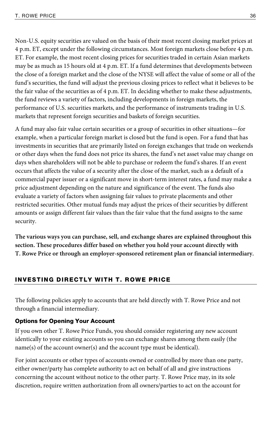Non-U.S. equity securities are valued on the basis of their most recent closing market prices at 4 p.m. ET, except under the following circumstances. Most foreign markets close before 4 p.m. ET. For example, the most recent closing prices for securities traded in certain Asian markets may be as much as 15 hours old at 4 p.m. ET. If a fund determines that developments between the close of a foreign market and the close of the NYSE will affect the value of some or all of the fund's securities, the fund will adjust the previous closing prices to reflect what it believes to be the fair value of the securities as of 4 p.m. ET. In deciding whether to make these adjustments, the fund reviews a variety of factors, including developments in foreign markets, the performance of U.S. securities markets, and the performance of instruments trading in U.S. markets that represent foreign securities and baskets of foreign securities.

A fund may also fair value certain securities or a group of securities in other situations—for example, when a particular foreign market is closed but the fund is open. For a fund that has investments in securities that are primarily listed on foreign exchanges that trade on weekends or other days when the fund does not price its shares, the fund's net asset value may change on days when shareholders will not be able to purchase or redeem the fund's shares. If an event occurs that affects the value of a security after the close of the market, such as a default of a commercial paper issuer or a significant move in short-term interest rates, a fund may make a price adjustment depending on the nature and significance of the event. The funds also evaluate a variety of factors when assigning fair values to private placements and other restricted securities. Other mutual funds may adjust the prices of their securities by different amounts or assign different fair values than the fair value that the fund assigns to the same security.

**The various ways you can purchase, sell, and exchange shares are explained throughout this section. These procedures differ based on whether you hold your account directly with T. Rowe Price or through an employer-sponsored retirement plan or financial intermediary.** 

### INVESTING DIRECTLY WITH T. ROWE PRICE

The following policies apply to accounts that are held directly with T. Rowe Price and not through a financial intermediary.

### Options for Opening Your Account

If you own other T. Rowe Price Funds, you should consider registering any new account identically to your existing accounts so you can exchange shares among them easily (the name(s) of the account owner(s) and the account type must be identical).

For joint accounts or other types of accounts owned or controlled by more than one party, either owner/party has complete authority to act on behalf of all and give instructions concerning the account without notice to the other party. T. Rowe Price may, in its sole discretion, require written authorization from all owners/parties to act on the account for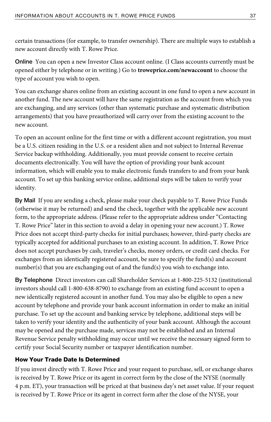certain transactions (for example, to transfer ownership). There are multiple ways to establish a new account directly with T. Rowe Price.

**Online** You can open a new Investor Class account online. (I Class accounts currently must be opened either by telephone or in writing.) Go to **troweprice.com/newaccount** to choose the type of account you wish to open.

You can exchange shares online from an existing account in one fund to open a new account in another fund. The new account will have the same registration as the account from which you are exchanging, and any services (other than systematic purchase and systematic distribution arrangements) that you have preauthorized will carry over from the existing account to the new account.

To open an account online for the first time or with a different account registration, you must be a U.S. citizen residing in the U.S. or a resident alien and not subject to Internal Revenue Service backup withholding. Additionally, you must provide consent to receive certain documents electronically. You will have the option of providing your bank account information, which will enable you to make electronic funds transfers to and from your bank account. To set up this banking service online, additional steps will be taken to verify your identity.

**By Mail** If you are sending a check, please make your check payable to T. Rowe Price Funds (otherwise it may be returned) and send the check, together with the applicable new account form, to the appropriate address. (Please refer to the appropriate address under "Contacting T. Rowe Price" later in this section to avoid a delay in opening your new account.) T. Rowe Price does not accept third-party checks for initial purchases; however, third-party checks are typically accepted for additional purchases to an existing account. In addition, T. Rowe Price does not accept purchases by cash, traveler's checks, money orders, or credit card checks. For exchanges from an identically registered account, be sure to specify the fund(s) and account number(s) that you are exchanging out of and the fund(s) you wish to exchange into.

**By Telephone** Direct investors can call Shareholder Services at 1-800-225-5132 (institutional investors should call 1-800-638-8790) to exchange from an existing fund account to open a new identically registered account in another fund. You may also be eligible to open a new account by telephone and provide your bank account information in order to make an initial purchase. To set up the account and banking service by telephone, additional steps will be taken to verify your identity and the authenticity of your bank account. Although the account may be opened and the purchase made, services may not be established and an Internal Revenue Service penalty withholding may occur until we receive the necessary signed form to certify your Social Security number or taxpayer identification number.

### How Your Trade Date Is Determined

If you invest directly with T. Rowe Price and your request to purchase, sell, or exchange shares is received by T. Rowe Price or its agent in correct form by the close of the NYSE (normally 4 p.m. ET), your transaction will be priced at that business day's net asset value. If your request is received by T. Rowe Price or its agent in correct form after the close of the NYSE, your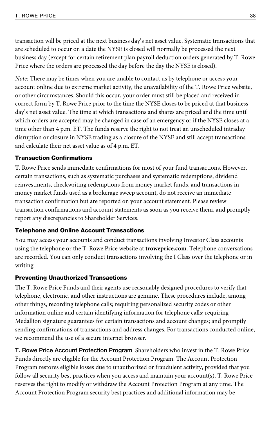transaction will be priced at the next business day's net asset value. Systematic transactions that are scheduled to occur on a date the NYSE is closed will normally be processed the next business day (except for certain retirement plan payroll deduction orders generated by T. Rowe Price where the orders are processed the day before the day the NYSE is closed).

Note: There may be times when you are unable to contact us by telephone or access your account online due to extreme market activity, the unavailability of the T. Rowe Price website, or other circumstances. Should this occur, your order must still be placed and received in correct form by T. Rowe Price prior to the time the NYSE closes to be priced at that business day's net asset value. The time at which transactions and shares are priced and the time until which orders are accepted may be changed in case of an emergency or if the NYSE closes at a time other than 4 p.m. ET. The funds reserve the right to not treat an unscheduled intraday disruption or closure in NYSE trading as a closure of the NYSE and still accept transactions and calculate their net asset value as of 4 p.m. ET.

### Transaction Confirmations

T. Rowe Price sends immediate confirmations for most of your fund transactions. However, certain transactions, such as systematic purchases and systematic redemptions, dividend reinvestments, checkwriting redemptions from money market funds, and transactions in money market funds used as a brokerage sweep account, do not receive an immediate transaction confirmation but are reported on your account statement. Please review transaction confirmations and account statements as soon as you receive them, and promptly report any discrepancies to Shareholder Services.

### Telephone and Online Account Transactions

You may access your accounts and conduct transactions involving Investor Class accounts using the telephone or the T. Rowe Price website at **troweprice.com**. Telephone conversations are recorded. You can only conduct transactions involving the I Class over the telephone or in writing.

### Preventing Unauthorized Transactions

The T. Rowe Price Funds and their agents use reasonably designed procedures to verify that telephone, electronic, and other instructions are genuine. These procedures include, among other things, recording telephone calls; requiring personalized security codes or other information online and certain identifying information for telephone calls; requiring Medallion signature guarantees for certain transactions and account changes; and promptly sending confirmations of transactions and address changes. For transactions conducted online, we recommend the use of a secure internet browser.

**T. Rowe Price Account Protection Program** Shareholders who invest in the T. Rowe Price Funds directly are eligible for the Account Protection Program. The Account Protection Program restores eligible losses due to unauthorized or fraudulent activity, provided that you follow all security best practices when you access and maintain your account(s). T. Rowe Price reserves the right to modify or withdraw the Account Protection Program at any time. The Account Protection Program security best practices and additional information may be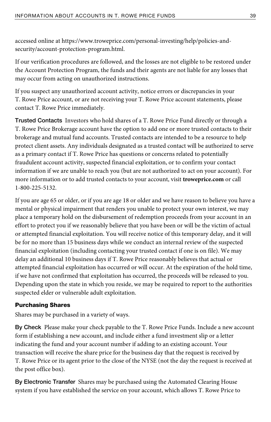accessed online at https://www.troweprice.com/personal-investing/help/policies-andsecurity/account-protection-program.html.

If our verification procedures are followed, and the losses are not eligible to be restored under the Account Protection Program, the funds and their agents are not liable for any losses that may occur from acting on unauthorized instructions.

If you suspect any unauthorized account activity, notice errors or discrepancies in your T. Rowe Price account, or are not receiving your T. Rowe Price account statements, please contact T. Rowe Price immediately.

**Trusted Contacts** Investors who hold shares of a T. Rowe Price Fund directly or through a T. Rowe Price Brokerage account have the option to add one or more trusted contacts to their brokerage and mutual fund accounts. Trusted contacts are intended to be a resource to help protect client assets. Any individuals designated as a trusted contact will be authorized to serve as a primary contact if T. Rowe Price has questions or concerns related to potentially fraudulent account activity, suspected financial exploitation, or to confirm your contact information if we are unable to reach you (but are not authorized to act on your account). For more information or to add trusted contacts to your account, visit **troweprice.com** or call 1-800-225-5132.

If you are age 65 or older, or if you are age 18 or older and we have reason to believe you have a mental or physical impairment that renders you unable to protect your own interest, we may place a temporary hold on the disbursement of redemption proceeds from your account in an effort to protect you if we reasonably believe that you have been or will be the victim of actual or attempted financial exploitation. You will receive notice of this temporary delay, and it will be for no more than 15 business days while we conduct an internal review of the suspected financial exploitation (including contacting your trusted contact if one is on file). We may delay an additional 10 business days if T. Rowe Price reasonably believes that actual or attempted financial exploitation has occurred or will occur. At the expiration of the hold time, if we have not confirmed that exploitation has occurred, the proceeds will be released to you. Depending upon the state in which you reside, we may be required to report to the authorities suspected elder or vulnerable adult exploitation.

### Purchasing Shares

Shares may be purchased in a variety of ways.

**By Check** Please make your check payable to the T. Rowe Price Funds. Include a new account form if establishing a new account, and include either a fund investment slip or a letter indicating the fund and your account number if adding to an existing account. Your transaction will receive the share price for the business day that the request is received by T. Rowe Price or its agent prior to the close of the NYSE (not the day the request is received at the post office box).

**By Electronic Transfer** Shares may be purchased using the Automated Clearing House system if you have established the service on your account, which allows T. Rowe Price to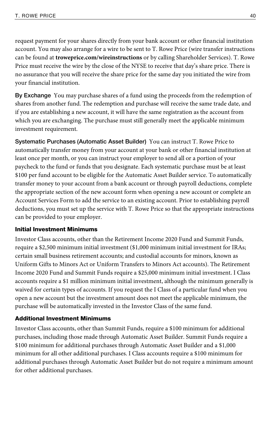request payment for your shares directly from your bank account or other financial institution account. You may also arrange for a wire to be sent to T. Rowe Price (wire transfer instructions can be found at **troweprice.com/wireinstructions** or by calling Shareholder Services). T. Rowe Price must receive the wire by the close of the NYSE to receive that day's share price. There is no assurance that you will receive the share price for the same day you initiated the wire from your financial institution.

**By Exchange** You may purchase shares of a fund using the proceeds from the redemption of shares from another fund. The redemption and purchase will receive the same trade date, and if you are establishing a new account, it will have the same registration as the account from which you are exchanging. The purchase must still generally meet the applicable minimum investment requirement.

**Systematic Purchases (Automatic Asset Builder)** You can instruct T. Rowe Price to automatically transfer money from your account at your bank or other financial institution at least once per month, or you can instruct your employer to send all or a portion of your paycheck to the fund or funds that you designate. Each systematic purchase must be at least \$100 per fund account to be eligible for the Automatic Asset Builder service. To automatically transfer money to your account from a bank account or through payroll deductions, complete the appropriate section of the new account form when opening a new account or complete an Account Services Form to add the service to an existing account. Prior to establishing payroll deductions, you must set up the service with T. Rowe Price so that the appropriate instructions can be provided to your employer.

#### Initial Investment Minimums

Investor Class accounts, other than the Retirement Income 2020 Fund and Summit Funds, require a \$2,500 minimum initial investment (\$1,000 minimum initial investment for IRAs; certain small business retirement accounts; and custodial accounts for minors, known as Uniform Gifts to Minors Act or Uniform Transfers to Minors Act accounts). The Retirement Income 2020 Fund and Summit Funds require a \$25,000 minimum initial investment. I Class accounts require a \$1 million minimum initial investment, although the minimum generally is waived for certain types of accounts. If you request the I Class of a particular fund when you open a new account but the investment amount does not meet the applicable minimum, the purchase will be automatically invested in the Investor Class of the same fund.

### Additional Investment Minimums

Investor Class accounts, other than Summit Funds, require a \$100 minimum for additional purchases, including those made through Automatic Asset Builder. Summit Funds require a \$100 minimum for additional purchases through Automatic Asset Builder and a \$1,000 minimum for all other additional purchases. I Class accounts require a \$100 minimum for additional purchases through Automatic Asset Builder but do not require a minimum amount for other additional purchases.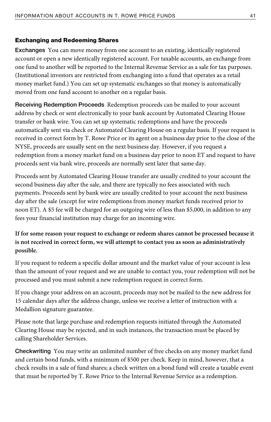### Exchanging and Redeeming Shares

**Exchanges** You can move money from one account to an existing, identically registered account or open a new identically registered account. For taxable accounts, an exchange from one fund to another will be reported to the Internal Revenue Service as a sale for tax purposes. (Institutional investors are restricted from exchanging into a fund that operates as a retail money market fund.) You can set up systematic exchanges so that money is automatically moved from one fund account to another on a regular basis.

**Receiving Redemption Proceeds** Redemption proceeds can be mailed to your account address by check or sent electronically to your bank account by Automated Clearing House transfer or bank wire. You can set up systematic redemptions and have the proceeds automatically sent via check or Automated Clearing House on a regular basis. If your request is received in correct form by T. Rowe Price or its agent on a business day prior to the close of the NYSE, proceeds are usually sent on the next business day. However, if you request a redemption from a money market fund on a business day prior to noon ET and request to have proceeds sent via bank wire, proceeds are normally sent later that same day.

Proceeds sent by Automated Clearing House transfer are usually credited to your account the second business day after the sale, and there are typically no fees associated with such payments. Proceeds sent by bank wire are usually credited to your account the next business day after the sale (except for wire redemptions from money market funds received prior to noon ET). A \$5 fee will be charged for an outgoing wire of less than \$5,000, in addition to any fees your financial institution may charge for an incoming wire.

### **If for some reason your request to exchange or redeem shares cannot be processed because it is not received in correct form, we will attempt to contact you as soon as administratively possible.**

If you request to redeem a specific dollar amount and the market value of your account is less than the amount of your request and we are unable to contact you, your redemption will not be processed and you must submit a new redemption request in correct form.

If you change your address on an account, proceeds may not be mailed to the new address for 15 calendar days after the address change, unless we receive a letter of instruction with a Medallion signature guarantee.

Please note that large purchase and redemption requests initiated through the Automated Clearing House may be rejected, and in such instances, the transaction must be placed by calling Shareholder Services.

**Checkwriting** You may write an unlimited number of free checks on any money market fund and certain bond funds, with a minimum of \$500 per check. Keep in mind, however, that a check results in a sale of fund shares; a check written on a bond fund will create a taxable event that must be reported by T. Rowe Price to the Internal Revenue Service as a redemption.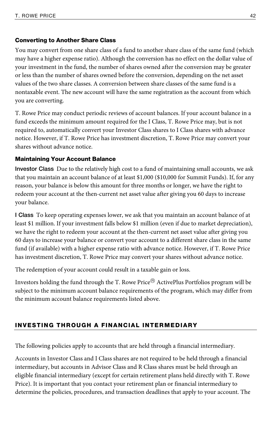#### Converting to Another Share Class

You may convert from one share class of a fund to another share class of the same fund (which may have a higher expense ratio). Although the conversion has no effect on the dollar value of your investment in the fund, the number of shares owned after the conversion may be greater or less than the number of shares owned before the conversion, depending on the net asset values of the two share classes. A conversion between share classes of the same fund is a nontaxable event. The new account will have the same registration as the account from which you are converting.

T. Rowe Price may conduct periodic reviews of account balances. If your account balance in a fund exceeds the minimum amount required for the I Class, T. Rowe Price may, but is not required to, automatically convert your Investor Class shares to I Class shares with advance notice. However, if T. Rowe Price has investment discretion, T. Rowe Price may convert your shares without advance notice.

#### Maintaining Your Account Balance

**Investor Class** Due to the relatively high cost to a fund of maintaining small accounts, we ask that you maintain an account balance of at least \$1,000 (\$10,000 for Summit Funds). If, for any reason, your balance is below this amount for three months or longer, we have the right to redeem your account at the then-current net asset value after giving you 60 days to increase your balance.

**I Class** To keep operating expenses lower, we ask that you maintain an account balance of at least \$1 million. If your investment falls below \$1 million (even if due to market depreciation), we have the right to redeem your account at the then-current net asset value after giving you 60 days to increase your balance or convert your account to a different share class in the same fund (if available) with a higher expense ratio with advance notice. However, if T. Rowe Price has investment discretion, T. Rowe Price may convert your shares without advance notice.

The redemption of your account could result in a taxable gain or loss.

Investors holding the fund through the T. Rowe Price® ActivePlus Portfolios program will be subject to the minimum account balance requirements of the program, which may differ from the minimum account balance requirements listed above.

### INVESTING THROUGH A FINANCIAL INTERMEDIARY

The following policies apply to accounts that are held through a financial intermediary.

Accounts in Investor Class and I Class shares are not required to be held through a financial intermediary, but accounts in Advisor Class and R Class shares must be held through an eligible financial intermediary (except for certain retirement plans held directly with T. Rowe Price). It is important that you contact your retirement plan or financial intermediary to determine the policies, procedures, and transaction deadlines that apply to your account. The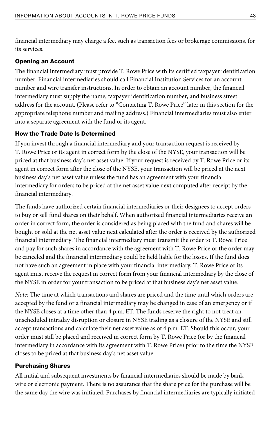financial intermediary may charge a fee, such as transaction fees or brokerage commissions, for its services.

### Opening an Account

The financial intermediary must provide T. Rowe Price with its certified taxpayer identification number. Financial intermediaries should call Financial Institution Services for an account number and wire transfer instructions. In order to obtain an account number, the financial intermediary must supply the name, taxpayer identification number, and business street address for the account. (Please refer to "Contacting T. Rowe Price" later in this section for the appropriate telephone number and mailing address.) Financial intermediaries must also enter into a separate agreement with the fund or its agent.

#### How the Trade Date Is Determined

If you invest through a financial intermediary and your transaction request is received by T. Rowe Price or its agent in correct form by the close of the NYSE, your transaction will be priced at that business day's net asset value. If your request is received by T. Rowe Price or its agent in correct form after the close of the NYSE, your transaction will be priced at the next business day's net asset value unless the fund has an agreement with your financial intermediary for orders to be priced at the net asset value next computed after receipt by the financial intermediary.

The funds have authorized certain financial intermediaries or their designees to accept orders to buy or sell fund shares on their behalf. When authorized financial intermediaries receive an order in correct form, the order is considered as being placed with the fund and shares will be bought or sold at the net asset value next calculated after the order is received by the authorized financial intermediary. The financial intermediary must transmit the order to T. Rowe Price and pay for such shares in accordance with the agreement with T. Rowe Price or the order may be canceled and the financial intermediary could be held liable for the losses. If the fund does not have such an agreement in place with your financial intermediary, T. Rowe Price or its agent must receive the request in correct form from your financial intermediary by the close of the NYSE in order for your transaction to be priced at that business day's net asset value.

Note: The time at which transactions and shares are priced and the time until which orders are accepted by the fund or a financial intermediary may be changed in case of an emergency or if the NYSE closes at a time other than 4 p.m. ET. The funds reserve the right to not treat an unscheduled intraday disruption or closure in NYSE trading as a closure of the NYSE and still accept transactions and calculate their net asset value as of 4 p.m. ET. Should this occur, your order must still be placed and received in correct form by T. Rowe Price (or by the financial intermediary in accordance with its agreement with T. Rowe Price) prior to the time the NYSE closes to be priced at that business day's net asset value.

### Purchasing Shares

All initial and subsequent investments by financial intermediaries should be made by bank wire or electronic payment. There is no assurance that the share price for the purchase will be the same day the wire was initiated. Purchases by financial intermediaries are typically initiated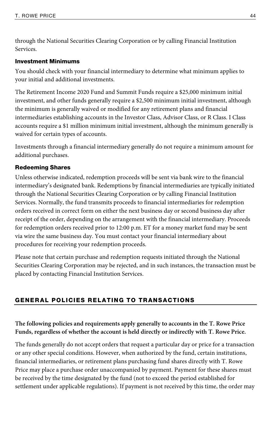through the National Securities Clearing Corporation or by calling Financial Institution Services.

### Investment Minimums

You should check with your financial intermediary to determine what minimum applies to your initial and additional investments.

The Retirement Income 2020 Fund and Summit Funds require a \$25,000 minimum initial investment, and other funds generally require a \$2,500 minimum initial investment, although the minimum is generally waived or modified for any retirement plans and financial intermediaries establishing accounts in the Investor Class, Advisor Class, or R Class. I Class accounts require a \$1 million minimum initial investment, although the minimum generally is waived for certain types of accounts.

Investments through a financial intermediary generally do not require a minimum amount for additional purchases.

### Redeeming Shares

Unless otherwise indicated, redemption proceeds will be sent via bank wire to the financial intermediary's designated bank. Redemptions by financial intermediaries are typically initiated through the National Securities Clearing Corporation or by calling Financial Institution Services. Normally, the fund transmits proceeds to financial intermediaries for redemption orders received in correct form on either the next business day or second business day after receipt of the order, depending on the arrangement with the financial intermediary. Proceeds for redemption orders received prior to 12:00 p.m. ET for a money market fund may be sent via wire the same business day. You must contact your financial intermediary about procedures for receiving your redemption proceeds.

Please note that certain purchase and redemption requests initiated through the National Securities Clearing Corporation may be rejected, and in such instances, the transaction must be placed by contacting Financial Institution Services.

### GENERAL POLICIES RELATING TO TRANSACTIONS

### **The following policies and requirements apply generally to accounts in the T. Rowe Price Funds, regardless of whether the account is held directly or indirectly with T. Rowe Price.**

The funds generally do not accept orders that request a particular day or price for a transaction or any other special conditions. However, when authorized by the fund, certain institutions, financial intermediaries, or retirement plans purchasing fund shares directly with T. Rowe Price may place a purchase order unaccompanied by payment. Payment for these shares must be received by the time designated by the fund (not to exceed the period established for settlement under applicable regulations). If payment is not received by this time, the order may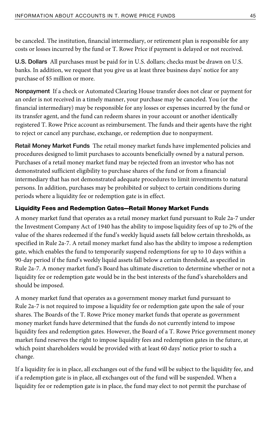be canceled. The institution, financial intermediary, or retirement plan is responsible for any costs or losses incurred by the fund or T. Rowe Price if payment is delayed or not received.

**U.S. Dollars** All purchases must be paid for in U.S. dollars; checks must be drawn on U.S. banks. In addition, we request that you give us at least three business days' notice for any purchase of \$5 million or more.

**Nonpayment** If a check or Automated Clearing House transfer does not clear or payment for an order is not received in a timely manner, your purchase may be canceled. You (or the financial intermediary) may be responsible for any losses or expenses incurred by the fund or its transfer agent, and the fund can redeem shares in your account or another identically registered T. Rowe Price account as reimbursement. The funds and their agents have the right to reject or cancel any purchase, exchange, or redemption due to nonpayment.

**Retail Money Market Funds** The retail money market funds have implemented policies and procedures designed to limit purchases to accounts beneficially owned by a natural person. Purchases of a retail money market fund may be rejected from an investor who has not demonstrated sufficient eligibility to purchase shares of the fund or from a financial intermediary that has not demonstrated adequate procedures to limit investments to natural persons. In addition, purchases may be prohibited or subject to certain conditions during periods where a liquidity fee or redemption gate is in effect.

### Liquidity Fees and Redemption Gates—Retail Money Market Funds

A money market fund that operates as a retail money market fund pursuant to Rule 2a-7 under the Investment Company Act of 1940 has the ability to impose liquidity fees of up to 2% of the value of the shares redeemed if the fund's weekly liquid assets fall below certain thresholds, as specified in Rule 2a-7. A retail money market fund also has the ability to impose a redemption gate, which enables the fund to temporarily suspend redemptions for up to 10 days within a 90-day period if the fund's weekly liquid assets fall below a certain threshold, as specified in Rule 2a-7. A money market fund's Board has ultimate discretion to determine whether or not a liquidity fee or redemption gate would be in the best interests of the fund's shareholders and should be imposed.

A money market fund that operates as a government money market fund pursuant to Rule 2a-7 is not required to impose a liquidity fee or redemption gate upon the sale of your shares. The Boards of the T. Rowe Price money market funds that operate as government money market funds have determined that the funds do not currently intend to impose liquidity fees and redemption gates. However, the Board of a T. Rowe Price government money market fund reserves the right to impose liquidity fees and redemption gates in the future, at which point shareholders would be provided with at least 60 days' notice prior to such a change.

If a liquidity fee is in place, all exchanges out of the fund will be subject to the liquidity fee, and if a redemption gate is in place, all exchanges out of the fund will be suspended. When a liquidity fee or redemption gate is in place, the fund may elect to not permit the purchase of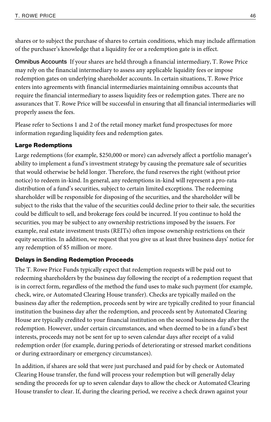shares or to subject the purchase of shares to certain conditions, which may include affirmation of the purchaser's knowledge that a liquidity fee or a redemption gate is in effect.

**Omnibus Accounts** If your shares are held through a financial intermediary, T. Rowe Price may rely on the financial intermediary to assess any applicable liquidity fees or impose redemption gates on underlying shareholder accounts. In certain situations, T. Rowe Price enters into agreements with financial intermediaries maintaining omnibus accounts that require the financial intermediary to assess liquidity fees or redemption gates. There are no assurances that T. Rowe Price will be successful in ensuring that all financial intermediaries will properly assess the fees.

Please refer to Sections 1 and 2 of the retail money market fund prospectuses for more information regarding liquidity fees and redemption gates.

### Large Redemptions

Large redemptions (for example, \$250,000 or more) can adversely affect a portfolio manager's ability to implement a fund's investment strategy by causing the premature sale of securities that would otherwise be held longer. Therefore, the fund reserves the right (without prior notice) to redeem in-kind. In general, any redemptions in-kind will represent a pro-rata distribution of a fund's securities, subject to certain limited exceptions. The redeeming shareholder will be responsible for disposing of the securities, and the shareholder will be subject to the risks that the value of the securities could decline prior to their sale, the securities could be difficult to sell, and brokerage fees could be incurred. If you continue to hold the securities, you may be subject to any ownership restrictions imposed by the issuers. For example, real estate investment trusts (REITs) often impose ownership restrictions on their equity securities. In addition, we request that you give us at least three business days' notice for any redemption of \$5 million or more.

### Delays in Sending Redemption Proceeds

The T. Rowe Price Funds typically expect that redemption requests will be paid out to redeeming shareholders by the business day following the receipt of a redemption request that is in correct form, regardless of the method the fund uses to make such payment (for example, check, wire, or Automated Clearing House transfer). Checks are typically mailed on the business day after the redemption, proceeds sent by wire are typically credited to your financial institution the business day after the redemption, and proceeds sent by Automated Clearing House are typically credited to your financial institution on the second business day after the redemption. However, under certain circumstances, and when deemed to be in a fund's best interests, proceeds may not be sent for up to seven calendar days after receipt of a valid redemption order (for example, during periods of deteriorating or stressed market conditions or during extraordinary or emergency circumstances).

In addition, if shares are sold that were just purchased and paid for by check or Automated Clearing House transfer, the fund will process your redemption but will generally delay sending the proceeds for up to seven calendar days to allow the check or Automated Clearing House transfer to clear. If, during the clearing period, we receive a check drawn against your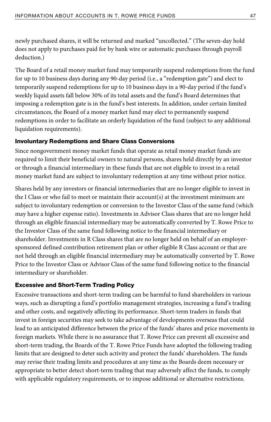newly purchased shares, it will be returned and marked "uncollected." (The seven-day hold does not apply to purchases paid for by bank wire or automatic purchases through payroll deduction.)

The Board of a retail money market fund may temporarily suspend redemptions from the fund for up to 10 business days during any 90-day period (i.e., a "redemption gate") and elect to temporarily suspend redemptions for up to 10 business days in a 90-day period if the fund's weekly liquid assets fall below 30% of its total assets and the fund's Board determines that imposing a redemption gate is in the fund's best interests. In addition, under certain limited circumstances, the Board of a money market fund may elect to permanently suspend redemptions in order to facilitate an orderly liquidation of the fund (subject to any additional liquidation requirements).

### Involuntary Redemptions and Share Class Conversions

Since nongovernment money market funds that operate as retail money market funds are required to limit their beneficial owners to natural persons, shares held directly by an investor or through a financial intermediary in these funds that are not eligible to invest in a retail money market fund are subject to involuntary redemption at any time without prior notice.

Shares held by any investors or financial intermediaries that are no longer eligible to invest in the I Class or who fail to meet or maintain their account(s) at the investment minimum are subject to involuntary redemption or conversion to the Investor Class of the same fund (which may have a higher expense ratio). Investments in Advisor Class shares that are no longer held through an eligible financial intermediary may be automatically converted by T. Rowe Price to the Investor Class of the same fund following notice to the financial intermediary or shareholder. Investments in R Class shares that are no longer held on behalf of an employersponsored defined contribution retirement plan or other eligible R Class account or that are not held through an eligible financial intermediary may be automatically converted by T. Rowe Price to the Investor Class or Advisor Class of the same fund following notice to the financial intermediary or shareholder.

### Excessive and Short-Term Trading Policy

Excessive transactions and short-term trading can be harmful to fund shareholders in various ways, such as disrupting a fund's portfolio management strategies, increasing a fund's trading and other costs, and negatively affecting its performance. Short-term traders in funds that invest in foreign securities may seek to take advantage of developments overseas that could lead to an anticipated difference between the price of the funds' shares and price movements in foreign markets. While there is no assurance that T. Rowe Price can prevent all excessive and short-term trading, the Boards of the T. Rowe Price Funds have adopted the following trading limits that are designed to deter such activity and protect the funds' shareholders. The funds may revise their trading limits and procedures at any time as the Boards deem necessary or appropriate to better detect short-term trading that may adversely affect the funds, to comply with applicable regulatory requirements, or to impose additional or alternative restrictions.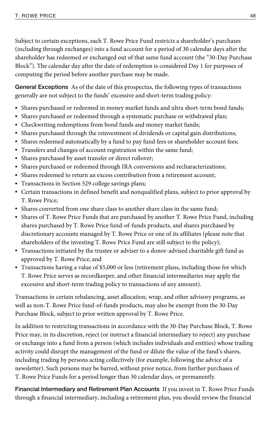Subject to certain exceptions, each T. Rowe Price Fund restricts a shareholder's purchases (including through exchanges) into a fund account for a period of 30 calendar days after the shareholder has redeemed or exchanged out of that same fund account (the "30-Day Purchase Block"). The calendar day after the date of redemption is considered Day 1 for purposes of computing the period before another purchase may be made.

**General Exceptions** As of the date of this prospectus, the following types of transactions generally are not subject to the funds' excessive and short-term trading policy:

- Shares purchased or redeemed in money market funds and ultra short-term bond funds;
- Shares purchased or redeemed through a systematic purchase or withdrawal plan;
- Checkwriting redemptions from bond funds and money market funds;
- Shares purchased through the reinvestment of dividends or capital gain distributions;
- Shares redeemed automatically by a fund to pay fund fees or shareholder account fees;
- Transfers and changes of account registration within the same fund;
- Shares purchased by asset transfer or direct rollover;
- Shares purchased or redeemed through IRA conversions and recharacterizations;
- Shares redeemed to return an excess contribution from a retirement account;
- Transactions in Section 529 college savings plans;
- Certain transactions in defined benefit and nonqualified plans, subject to prior approval by T. Rowe Price;
- Shares converted from one share class to another share class in the same fund;
- Shares of T. Rowe Price Funds that are purchased by another T. Rowe Price Fund, including shares purchased by T. Rowe Price fund-of-funds products, and shares purchased by discretionary accounts managed by T. Rowe Price or one of its affiliates (please note that shareholders of the investing T. Rowe Price Fund are still subject to the policy);
- Transactions initiated by the trustee or adviser to a donor-advised charitable gift fund as approved by T. Rowe Price; and
- Transactions having a value of \$5,000 or less (retirement plans, including those for which T. Rowe Price serves as recordkeeper, and other financial intermediaries may apply the excessive and short-term trading policy to transactions of any amount).

Transactions in certain rebalancing, asset allocation, wrap, and other advisory programs, as well as non-T. Rowe Price fund-of-funds products, may also be exempt from the 30-Day Purchase Block, subject to prior written approval by T. Rowe Price.

In addition to restricting transactions in accordance with the 30-Day Purchase Block, T. Rowe Price may, in its discretion, reject (or instruct a financial intermediary to reject) any purchase or exchange into a fund from a person (which includes individuals and entities) whose trading activity could disrupt the management of the fund or dilute the value of the fund's shares, including trading by persons acting collectively (for example, following the advice of a newsletter). Such persons may be barred, without prior notice, from further purchases of T. Rowe Price Funds for a period longer than 30 calendar days, or permanently.

**Financial Intermediary and Retirement Plan Accounts** If you invest in T. Rowe Price Funds through a financial intermediary, including a retirement plan, you should review the financial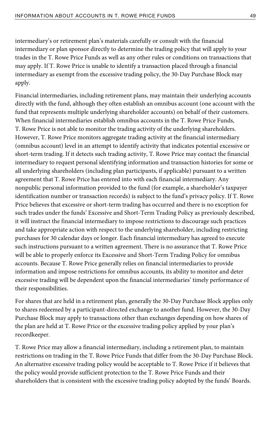intermediary's or retirement plan's materials carefully or consult with the financial intermediary or plan sponsor directly to determine the trading policy that will apply to your trades in the T. Rowe Price Funds as well as any other rules or conditions on transactions that may apply. If T. Rowe Price is unable to identify a transaction placed through a financial intermediary as exempt from the excessive trading policy, the 30-Day Purchase Block may apply.

Financial intermediaries, including retirement plans, may maintain their underlying accounts directly with the fund, although they often establish an omnibus account (one account with the fund that represents multiple underlying shareholder accounts) on behalf of their customers. When financial intermediaries establish omnibus accounts in the T. Rowe Price Funds, T. Rowe Price is not able to monitor the trading activity of the underlying shareholders. However, T. Rowe Price monitors aggregate trading activity at the financial intermediary (omnibus account) level in an attempt to identify activity that indicates potential excessive or short-term trading. If it detects such trading activity, T. Rowe Price may contact the financial intermediary to request personal identifying information and transaction histories for some or all underlying shareholders (including plan participants, if applicable) pursuant to a written agreement that T. Rowe Price has entered into with each financial intermediary. Any nonpublic personal information provided to the fund (for example, a shareholder's taxpayer identification number or transaction records) is subject to the fund's privacy policy. If T. Rowe Price believes that excessive or short-term trading has occurred and there is no exception for such trades under the funds' Excessive and Short-Term Trading Policy as previously described, it will instruct the financial intermediary to impose restrictions to discourage such practices and take appropriate action with respect to the underlying shareholder, including restricting purchases for 30 calendar days or longer. Each financial intermediary has agreed to execute such instructions pursuant to a written agreement. There is no assurance that T. Rowe Price will be able to properly enforce its Excessive and Short-Term Trading Policy for omnibus accounts. Because T. Rowe Price generally relies on financial intermediaries to provide information and impose restrictions for omnibus accounts, its ability to monitor and deter excessive trading will be dependent upon the financial intermediaries' timely performance of their responsibilities.

For shares that are held in a retirement plan, generally the 30-Day Purchase Block applies only to shares redeemed by a participant-directed exchange to another fund. However, the 30-Day Purchase Block may apply to transactions other than exchanges depending on how shares of the plan are held at T. Rowe Price or the excessive trading policy applied by your plan's recordkeeper.

T. Rowe Price may allow a financial intermediary, including a retirement plan, to maintain restrictions on trading in the T. Rowe Price Funds that differ from the 30-Day Purchase Block. An alternative excessive trading policy would be acceptable to T. Rowe Price if it believes that the policy would provide sufficient protection to the T. Rowe Price Funds and their shareholders that is consistent with the excessive trading policy adopted by the funds' Boards.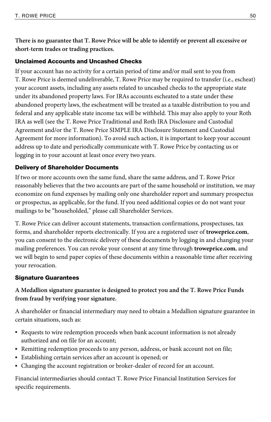**There is no guarantee that T. Rowe Price will be able to identify or prevent all excessive or short-term trades or trading practices.** 

### Unclaimed Accounts and Uncashed Checks

If your account has no activity for a certain period of time and/or mail sent to you from T. Rowe Price is deemed undeliverable, T. Rowe Price may be required to transfer (i.e., escheat) your account assets, including any assets related to uncashed checks to the appropriate state under its abandoned property laws. For IRAs accounts escheated to a state under these abandoned property laws, the escheatment will be treated as a taxable distribution to you and federal and any applicable state income tax will be withheld. This may also apply to your Roth IRA as well (see the T. Rowe Price Traditional and Roth IRA Disclosure and Custodial Agreement and/or the T. Rowe Price SIMPLE IRA Disclosure Statement and Custodial Agreement for more information). To avoid such action, it is important to keep your account address up to date and periodically communicate with T. Rowe Price by contacting us or logging in to your account at least once every two years.

### Delivery of Shareholder Documents

If two or more accounts own the same fund, share the same address, and T. Rowe Price reasonably believes that the two accounts are part of the same household or institution, we may economize on fund expenses by mailing only one shareholder report and summary prospectus or prospectus, as applicable, for the fund. If you need additional copies or do not want your mailings to be "householded," please call Shareholder Services.

T. Rowe Price can deliver account statements, transaction confirmations, prospectuses, tax forms, and shareholder reports electronically. If you are a registered user of **troweprice.com**, you can consent to the electronic delivery of these documents by logging in and changing your mailing preferences. You can revoke your consent at any time through **troweprice.com**, and we will begin to send paper copies of these documents within a reasonable time after receiving your revocation.

### Signature Guarantees

### **A Medallion signature guarantee is designed to protect you and the T. Rowe Price Funds from fraud by verifying your signature.**

A shareholder or financial intermediary may need to obtain a Medallion signature guarantee in certain situations, such as:

- Requests to wire redemption proceeds when bank account information is not already authorized and on file for an account;
- Remitting redemption proceeds to any person, address, or bank account not on file;
- Establishing certain services after an account is opened; or
- Changing the account registration or broker-dealer of record for an account.

Financial intermediaries should contact T. Rowe Price Financial Institution Services for specific requirements.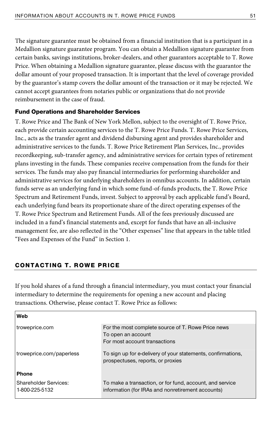The signature guarantee must be obtained from a financial institution that is a participant in a Medallion signature guarantee program. You can obtain a Medallion signature guarantee from certain banks, savings institutions, broker-dealers, and other guarantors acceptable to T. Rowe Price. When obtaining a Medallion signature guarantee, please discuss with the guarantor the dollar amount of your proposed transaction. It is important that the level of coverage provided by the guarantor's stamp covers the dollar amount of the transaction or it may be rejected. We cannot accept guarantees from notaries public or organizations that do not provide reimbursement in the case of fraud.

#### Fund Operations and Shareholder Services

T. Rowe Price and The Bank of New York Mellon, subject to the oversight of T. Rowe Price, each provide certain accounting services to the T. Rowe Price Funds. T. Rowe Price Services, Inc., acts as the transfer agent and dividend disbursing agent and provides shareholder and administrative services to the funds. T. Rowe Price Retirement Plan Services, Inc., provides recordkeeping, sub-transfer agency, and administrative services for certain types of retirement plans investing in the funds. These companies receive compensation from the funds for their services. The funds may also pay financial intermediaries for performing shareholder and administrative services for underlying shareholders in omnibus accounts. In addition, certain funds serve as an underlying fund in which some fund-of-funds products, the T. Rowe Price Spectrum and Retirement Funds, invest. Subject to approval by each applicable fund's Board, each underlying fund bears its proportionate share of the direct operating expenses of the T. Rowe Price Spectrum and Retirement Funds. All of the fees previously discussed are included in a fund's financial statements and, except for funds that have an all-inclusive management fee, are also reflected in the "Other expenses" line that appears in the table titled "Fees and Expenses of the Fund" in Section 1.

### CONTACTING T. ROWE PRICE

If you hold shares of a fund through a financial intermediary, you must contact your financial intermediary to determine the requirements for opening a new account and placing transactions. Otherwise, please contact T. Rowe Price as follows:

| Web                                            |                                                                                                               |
|------------------------------------------------|---------------------------------------------------------------------------------------------------------------|
| troweprice.com                                 | For the most complete source of T. Rowe Price news<br>To open an account<br>For most account transactions     |
| troweprice.com/paperless                       | To sign up for e-delivery of your statements, confirmations,<br>prospectuses, reports, or proxies             |
| <b>Phone</b>                                   |                                                                                                               |
| <b>Shareholder Services:</b><br>1-800-225-5132 | To make a transaction, or for fund, account, and service<br>information (for IRAs and nonretirement accounts) |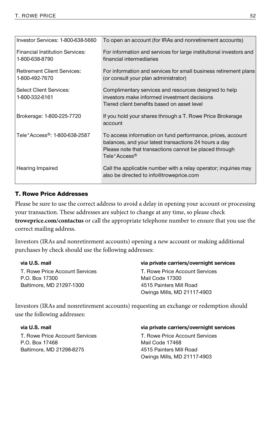| Investor Services: 1-800-638-5660                    | To open an account (for IRAs and nonretirement accounts)                                                                                                                                                  |
|------------------------------------------------------|-----------------------------------------------------------------------------------------------------------------------------------------------------------------------------------------------------------|
| Financial Institution Services:<br>1-800-638-8790    | For information and services for large institutional investors and<br>financial intermediaries                                                                                                            |
| <b>Retirement Client Services:</b><br>1-800-492-7670 | For information and services for small business retirement plans<br>(or consult your plan administrator)                                                                                                  |
| <b>Select Client Services:</b><br>1-800-332-6161     | Complimentary services and resources designed to help<br>investors make informed investment decisions<br>Tiered client benefits based on asset level                                                      |
| Brokerage: 1-800-225-7720                            | If you hold your shares through a T. Rowe Price Brokerage<br>account                                                                                                                                      |
| Tele*Access <sup>®</sup> : 1-800-638-2587            | To access information on fund performance, prices, account<br>balances, and your latest transactions 24 hours a day<br>Please note that transactions cannot be placed through<br>Tele*Access <sup>®</sup> |
| Hearing Impaired                                     | Call the applicable number with a relay operator; inquiries may<br>also be directed to info@troweprice.com                                                                                                |

### T. Rowe Price Addresses

Please be sure to use the correct address to avoid a delay in opening your account or processing your transaction. These addresses are subject to change at any time, so please check **troweprice.com/contactus** or call the appropriate telephone number to ensure that you use the correct mailing address.

Investors (IRAs and nonretirement accounts) opening a new account or making additional purchases by check should use the following addresses:

**via U.S. mail**  T. Rowe Price Account Services P.O. Box 17300 Baltimore, MD 21297-1300

#### **via private carriers/overnight services**

T. Rowe Price Account Services Mail Code 17300 4515 Painters Mill Road Owings Mills, MD 21117-4903

Investors (IRAs and nonretirement accounts) requesting an exchange or redemption should use the following addresses:

**via U.S. mail**  T. Rowe Price Account Services P.O. Box 17468 Baltimore, MD 21298-8275

#### **via private carriers/overnight services**

T. Rowe Price Account Services Mail Code 17468 4515 Painters Mill Road Owings Mills, MD 21117-4903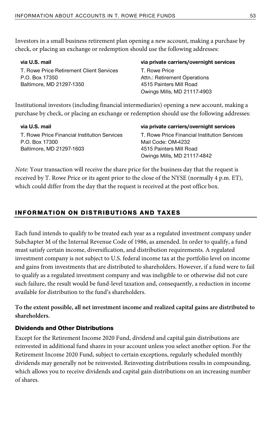Investors in a small business retirement plan opening a new account, making a purchase by check, or placing an exchange or redemption should use the following addresses:

| via U.S. mail                                                                                              | via private carriers/overnight services |
|------------------------------------------------------------------------------------------------------------|-----------------------------------------|
| T. Rowe Price Retirement Client Services                                                                   | T. Rowe Price                           |
| P.O. Box 17350                                                                                             | Attn.: Retirement Operations            |
| Baltimore, MD 21297-1350                                                                                   | 4515 Painters Mill Road                 |
|                                                                                                            | Owings Mills, MD 21117-4903             |
| والمشاويس المستموم والمتماس والمشتبوس لامتسوناه ويستولسا التوسوسة مستاه بالوسا السماوييسا المسوناتيناناهما |                                         |

Institutional investors (including financial intermediaries) opening a new account, making a purchase by check, or placing an exchange or redemption should use the following addresses:

| via U.S. mail                                | via private carriers/overnight services      |
|----------------------------------------------|----------------------------------------------|
| T. Rowe Price Financial Institution Services | T. Rowe Price Financial Institution Services |
| P.O. Box 17300                               | Mail Code: OM-4232                           |
| Baltimore, MD 21297-1603                     | 4515 Painters Mill Road                      |
|                                              | Owings Mills, MD 21117-4842                  |

Note: Your transaction will receive the share price for the business day that the request is received by T. Rowe Price or its agent prior to the close of the NYSE (normally 4 p.m. ET), which could differ from the day that the request is received at the post office box.

### INFORMATION ON DISTRIBUTIONS AND TAXES

Each fund intends to qualify to be treated each year as a regulated investment company under Subchapter M of the Internal Revenue Code of 1986, as amended. In order to qualify, a fund must satisfy certain income, diversification, and distribution requirements. A regulated investment company is not subject to U.S. federal income tax at the portfolio level on income and gains from investments that are distributed to shareholders. However, if a fund were to fail to qualify as a regulated investment company and was ineligible to or otherwise did not cure such failure, the result would be fund-level taxation and, consequently, a reduction in income available for distribution to the fund's shareholders.

**To the extent possible, all net investment income and realized capital gains are distributed to shareholders.** 

### Dividends and Other Distributions

Except for the Retirement Income 2020 Fund, dividend and capital gain distributions are reinvested in additional fund shares in your account unless you select another option. For the Retirement Income 2020 Fund, subject to certain exceptions, regularly scheduled monthly dividends may generally not be reinvested. Reinvesting distributions results in compounding, which allows you to receive dividends and capital gain distributions on an increasing number of shares.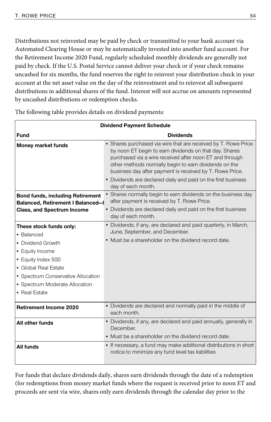Distributions not reinvested may be paid by check or transmitted to your bank account via Automated Clearing House or may be automatically invested into another fund account. For the Retirement Income 2020 Fund, regularly scheduled monthly dividends are generally not paid by check. If the U.S. Postal Service cannot deliver your check or if your check remains uncashed for six months, the fund reserves the right to reinvest your distribution check in your account at the net asset value on the day of the reinvestment and to reinvest all subsequent distributions in additional shares of the fund. Interest will not accrue on amounts represented by uncashed distributions or redemption checks.

| <b>Dividend Payment Schedule</b>                                                                                                                                                                                     |                                                                                                                                                                                                                                                                                                                                                                                                 |  |  |
|----------------------------------------------------------------------------------------------------------------------------------------------------------------------------------------------------------------------|-------------------------------------------------------------------------------------------------------------------------------------------------------------------------------------------------------------------------------------------------------------------------------------------------------------------------------------------------------------------------------------------------|--|--|
| <b>Fund</b>                                                                                                                                                                                                          | <b>Dividends</b>                                                                                                                                                                                                                                                                                                                                                                                |  |  |
| <b>Money market funds</b>                                                                                                                                                                                            | • Shares purchased via wire that are received by T. Rowe Price<br>by noon ET begin to earn dividends on that day. Shares<br>purchased via a wire received after noon ET and through<br>other methods normally begin to earn dividends on the<br>business day after payment is received by T. Rowe Price.<br>• Dividends are declared daily and paid on the first business<br>day of each month. |  |  |
| <b>Bond funds, including Retirement</b>                                                                                                                                                                              | • Shares normally begin to earn dividends on the business day<br>after payment is received by T. Rowe Price.                                                                                                                                                                                                                                                                                    |  |  |
| Balanced, Retirement I Balanced-I<br><b>Class, and Spectrum Income</b>                                                                                                                                               | • Dividends are declared daily and paid on the first business<br>day of each month.                                                                                                                                                                                                                                                                                                             |  |  |
| These stock funds only:<br>• Balanced<br>• Dividend Growth<br>• Equity Income<br>• Equity Index 500<br>• Global Real Estate<br>• Spectrum Conservative Allocation<br>• Spectrum Moderate Allocation<br>• Real Estate | • Dividends, if any, are declared and paid quarterly, in March,<br>June, September, and December.<br>• Must be a shareholder on the dividend record date.                                                                                                                                                                                                                                       |  |  |
| <b>Retirement Income 2020</b>                                                                                                                                                                                        | • Dividends are declared and normally paid in the middle of<br>each month.                                                                                                                                                                                                                                                                                                                      |  |  |
| All other funds                                                                                                                                                                                                      | • Dividends, if any, are declared and paid annually, generally in<br>December.<br>• Must be a shareholder on the dividend record date.                                                                                                                                                                                                                                                          |  |  |
| All funds                                                                                                                                                                                                            | • If necessary, a fund may make additional distributions in short<br>notice to minimize any fund level tax liabilities                                                                                                                                                                                                                                                                          |  |  |

The following table provides details on dividend payments:

For funds that declare dividends daily, shares earn dividends through the date of a redemption (for redemptions from money market funds where the request is received prior to noon ET and proceeds are sent via wire, shares only earn dividends through the calendar day prior to the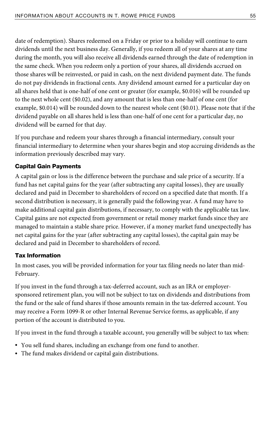date of redemption). Shares redeemed on a Friday or prior to a holiday will continue to earn dividends until the next business day. Generally, if you redeem all of your shares at any time during the month, you will also receive all dividends earned through the date of redemption in the same check. When you redeem only a portion of your shares, all dividends accrued on those shares will be reinvested, or paid in cash, on the next dividend payment date. The funds do not pay dividends in fractional cents. Any dividend amount earned for a particular day on all shares held that is one-half of one cent or greater (for example, \$0.016) will be rounded up to the next whole cent (\$0.02), and any amount that is less than one-half of one cent (for example, \$0.014) will be rounded down to the nearest whole cent (\$0.01). Please note that if the dividend payable on all shares held is less than one-half of one cent for a particular day, no dividend will be earned for that day.

If you purchase and redeem your shares through a financial intermediary, consult your financial intermediary to determine when your shares begin and stop accruing dividends as the information previously described may vary.

### Capital Gain Payments

A capital gain or loss is the difference between the purchase and sale price of a security. If a fund has net capital gains for the year (after subtracting any capital losses), they are usually declared and paid in December to shareholders of record on a specified date that month. If a second distribution is necessary, it is generally paid the following year. A fund may have to make additional capital gain distributions, if necessary, to comply with the applicable tax law. Capital gains are not expected from government or retail money market funds since they are managed to maintain a stable share price. However, if a money market fund unexpectedly has net capital gains for the year (after subtracting any capital losses), the capital gain may be declared and paid in December to shareholders of record.

### Tax Information

In most cases, you will be provided information for your tax filing needs no later than mid-February.

If you invest in the fund through a tax-deferred account, such as an IRA or employersponsored retirement plan, you will not be subject to tax on dividends and distributions from the fund or the sale of fund shares if those amounts remain in the tax-deferred account. You may receive a Form 1099-R or other Internal Revenue Service forms, as applicable, if any portion of the account is distributed to you.

If you invest in the fund through a taxable account, you generally will be subject to tax when:

- You sell fund shares, including an exchange from one fund to another.
- The fund makes dividend or capital gain distributions.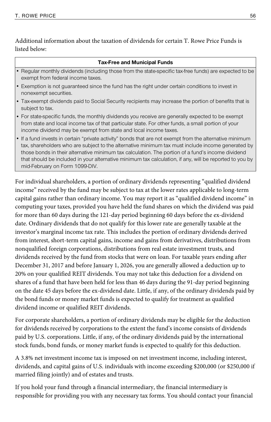Additional information about the taxation of dividends for certain T. Rowe Price Funds is listed below:

#### **Tax-Free and Municipal Funds**

- Regular monthly dividends (including those from the state-specific tax-free funds) are expected to be exempt from federal income taxes.
- Exemption is not guaranteed since the fund has the right under certain conditions to invest in nonexempt securities.
- Tax-exempt dividends paid to Social Security recipients may increase the portion of benefits that is subject to tax.
- For state-specific funds, the monthly dividends you receive are generally expected to be exempt from state and local income tax of that particular state. For other funds, a small portion of your income dividend may be exempt from state and local income taxes.
- If a fund invests in certain "private activity" bonds that are not exempt from the alternative minimum tax, shareholders who are subject to the alternative minimum tax must include income generated by those bonds in their alternative minimum tax calculation. The portion of a fund's income dividend that should be included in your alternative minimum tax calculation, if any, will be reported to you by mid-February on Form 1099-DIV.

For individual shareholders, a portion of ordinary dividends representing "qualified dividend income" received by the fund may be subject to tax at the lower rates applicable to long-term capital gains rather than ordinary income. You may report it as "qualified dividend income" in computing your taxes, provided you have held the fund shares on which the dividend was paid for more than 60 days during the 121-day period beginning 60 days before the ex-dividend date. Ordinary dividends that do not qualify for this lower rate are generally taxable at the investor's marginal income tax rate. This includes the portion of ordinary dividends derived from interest, short-term capital gains, income and gains from derivatives, distributions from nonqualified foreign corporations, distributions from real estate investment trusts, and dividends received by the fund from stocks that were on loan. For taxable years ending after December 31, 2017 and before January 1, 2026, you are generally allowed a deduction up to 20% on your qualified REIT dividends. You may not take this deduction for a dividend on shares of a fund that have been held for less than 46 days during the 91-day period beginning on the date 45 days before the ex-dividend date. Little, if any, of the ordinary dividends paid by the bond funds or money market funds is expected to qualify for treatment as qualified dividend income or qualified REIT dividends.

For corporate shareholders, a portion of ordinary dividends may be eligible for the deduction for dividends received by corporations to the extent the fund's income consists of dividends paid by U.S. corporations. Little, if any, of the ordinary dividends paid by the international stock funds, bond funds, or money market funds is expected to qualify for this deduction.

A 3.8% net investment income tax is imposed on net investment income, including interest, dividends, and capital gains of U.S. individuals with income exceeding \$200,000 (or \$250,000 if married filing jointly) and of estates and trusts.

If you hold your fund through a financial intermediary, the financial intermediary is responsible for providing you with any necessary tax forms. You should contact your financial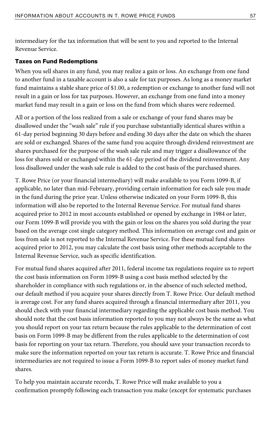intermediary for the tax information that will be sent to you and reported to the Internal Revenue Service.

#### Taxes on Fund Redemptions

When you sell shares in any fund, you may realize a gain or loss. An exchange from one fund to another fund in a taxable account is also a sale for tax purposes. As long as a money market fund maintains a stable share price of \$1.00, a redemption or exchange to another fund will not result in a gain or loss for tax purposes. However, an exchange from one fund into a money market fund may result in a gain or loss on the fund from which shares were redeemed.

All or a portion of the loss realized from a sale or exchange of your fund shares may be disallowed under the "wash sale" rule if you purchase substantially identical shares within a 61-day period beginning 30 days before and ending 30 days after the date on which the shares are sold or exchanged. Shares of the same fund you acquire through dividend reinvestment are shares purchased for the purpose of the wash sale rule and may trigger a disallowance of the loss for shares sold or exchanged within the 61-day period of the dividend reinvestment. Any loss disallowed under the wash sale rule is added to the cost basis of the purchased shares.

T. Rowe Price (or your financial intermediary) will make available to you Form 1099-B, if applicable, no later than mid-February, providing certain information for each sale you made in the fund during the prior year. Unless otherwise indicated on your Form 1099-B, this information will also be reported to the Internal Revenue Service. For mutual fund shares acquired prior to 2012 in most accounts established or opened by exchange in 1984 or later, our Form 1099-B will provide you with the gain or loss on the shares you sold during the year based on the average cost single category method. This information on average cost and gain or loss from sale is not reported to the Internal Revenue Service. For these mutual fund shares acquired prior to 2012, you may calculate the cost basis using other methods acceptable to the Internal Revenue Service, such as specific identification.

For mutual fund shares acquired after 2011, federal income tax regulations require us to report the cost basis information on Form 1099-B using a cost basis method selected by the shareholder in compliance with such regulations or, in the absence of such selected method, our default method if you acquire your shares directly from T. Rowe Price. Our default method is average cost. For any fund shares acquired through a financial intermediary after 2011, you should check with your financial intermediary regarding the applicable cost basis method. You should note that the cost basis information reported to you may not always be the same as what you should report on your tax return because the rules applicable to the determination of cost basis on Form 1099-B may be different from the rules applicable to the determination of cost basis for reporting on your tax return. Therefore, you should save your transaction records to make sure the information reported on your tax return is accurate. T. Rowe Price and financial intermediaries are not required to issue a Form 1099-B to report sales of money market fund shares.

To help you maintain accurate records, T. Rowe Price will make available to you a confirmation promptly following each transaction you make (except for systematic purchases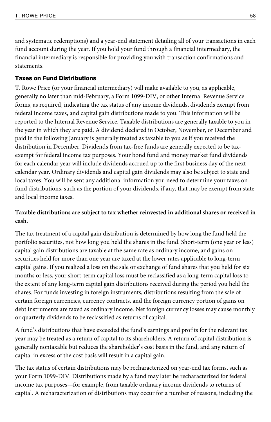and systematic redemptions) and a year-end statement detailing all of your transactions in each fund account during the year. If you hold your fund through a financial intermediary, the financial intermediary is responsible for providing you with transaction confirmations and statements.

#### Taxes on Fund Distributions

T. Rowe Price (or your financial intermediary) will make available to you, as applicable, generally no later than mid-February, a Form 1099-DIV, or other Internal Revenue Service forms, as required, indicating the tax status of any income dividends, dividends exempt from federal income taxes, and capital gain distributions made to you. This information will be reported to the Internal Revenue Service. Taxable distributions are generally taxable to you in the year in which they are paid. A dividend declared in October, November, or December and paid in the following January is generally treated as taxable to you as if you received the distribution in December. Dividends from tax-free funds are generally expected to be taxexempt for federal income tax purposes. Your bond fund and money market fund dividends for each calendar year will include dividends accrued up to the first business day of the next calendar year. Ordinary dividends and capital gain dividends may also be subject to state and local taxes. You will be sent any additional information you need to determine your taxes on fund distributions, such as the portion of your dividends, if any, that may be exempt from state and local income taxes.

### **Taxable distributions are subject to tax whether reinvested in additional shares or received in cash.**

The tax treatment of a capital gain distribution is determined by how long the fund held the portfolio securities, not how long you held the shares in the fund. Short-term (one year or less) capital gain distributions are taxable at the same rate as ordinary income, and gains on securities held for more than one year are taxed at the lower rates applicable to long-term capital gains. If you realized a loss on the sale or exchange of fund shares that you held for six months or less, your short-term capital loss must be reclassified as a long-term capital loss to the extent of any long-term capital gain distributions received during the period you held the shares. For funds investing in foreign instruments, distributions resulting from the sale of certain foreign currencies, currency contracts, and the foreign currency portion of gains on debt instruments are taxed as ordinary income. Net foreign currency losses may cause monthly or quarterly dividends to be reclassified as returns of capital.

A fund's distributions that have exceeded the fund's earnings and profits for the relevant tax year may be treated as a return of capital to its shareholders. A return of capital distribution is generally nontaxable but reduces the shareholder's cost basis in the fund, and any return of capital in excess of the cost basis will result in a capital gain.

The tax status of certain distributions may be recharacterized on year-end tax forms, such as your Form 1099-DIV. Distributions made by a fund may later be recharacterized for federal income tax purposes—for example, from taxable ordinary income dividends to returns of capital. A recharacterization of distributions may occur for a number of reasons, including the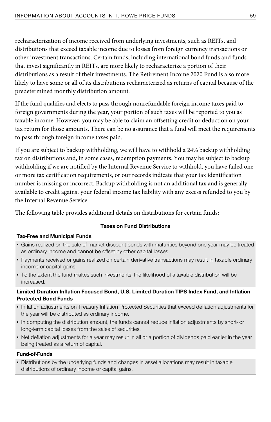recharacterization of income received from underlying investments, such as REITs, and distributions that exceed taxable income due to losses from foreign currency transactions or other investment transactions. Certain funds, including international bond funds and funds that invest significantly in REITs, are more likely to recharacterize a portion of their distributions as a result of their investments. The Retirement Income 2020 Fund is also more likely to have some or all of its distributions recharacterized as returns of capital because of the predetermined monthly distribution amount.

If the fund qualifies and elects to pass through nonrefundable foreign income taxes paid to foreign governments during the year, your portion of such taxes will be reported to you as taxable income. However, you may be able to claim an offsetting credit or deduction on your tax return for those amounts. There can be no assurance that a fund will meet the requirements to pass through foreign income taxes paid.

If you are subject to backup withholding, we will have to withhold a 24% backup withholding tax on distributions and, in some cases, redemption payments. You may be subject to backup withholding if we are notified by the Internal Revenue Service to withhold, you have failed one or more tax certification requirements, or our records indicate that your tax identification number is missing or incorrect. Backup withholding is not an additional tax and is generally available to credit against your federal income tax liability with any excess refunded to you by the Internal Revenue Service.

The following table provides additional details on distributions for certain funds:

#### **Taxes on Fund Distributions**

#### **Tax-Free and Municipal Funds**

- Gains realized on the sale of market discount bonds with maturities beyond one year may be treated as ordinary income and cannot be offset by other capital losses.
- Payments received or gains realized on certain derivative transactions may result in taxable ordinary income or capital gains.
- To the extent the fund makes such investments, the likelihood of a taxable distribution will be increased.

#### **Limited Duration Inflation Focused Bond, U.S. Limited Duration TIPS Index Fund, and Inflation Protected Bond Funds**

- Inflation adjustments on Treasury Inflation Protected Securities that exceed deflation adjustments for the year will be distributed as ordinary income.
- In computing the distribution amount, the funds cannot reduce inflation adjustments by short- or long-term capital losses from the sales of securities.
- Net deflation adjustments for a year may result in all or a portion of dividends paid earlier in the year being treated as a return of capital.

#### **Fund-of-Funds**

• Distributions by the underlying funds and changes in asset allocations may result in taxable distributions of ordinary income or capital gains.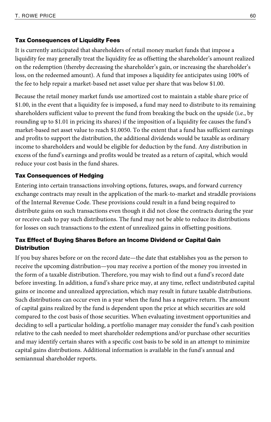### Tax Consequences of Liquidity Fees

It is currently anticipated that shareholders of retail money market funds that impose a liquidity fee may generally treat the liquidity fee as offsetting the shareholder's amount realized on the redemption (thereby decreasing the shareholder's gain, or increasing the shareholder's loss, on the redeemed amount). A fund that imposes a liquidity fee anticipates using 100% of the fee to help repair a market-based net asset value per share that was below \$1.00.

Because the retail money market funds use amortized cost to maintain a stable share price of \$1.00, in the event that a liquidity fee is imposed, a fund may need to distribute to its remaining shareholders sufficient value to prevent the fund from breaking the buck on the upside (i.e., by rounding up to \$1.01 in pricing its shares) if the imposition of a liquidity fee causes the fund's market-based net asset value to reach \$1.0050. To the extent that a fund has sufficient earnings and profits to support the distribution, the additional dividends would be taxable as ordinary income to shareholders and would be eligible for deduction by the fund. Any distribution in excess of the fund's earnings and profits would be treated as a return of capital, which would reduce your cost basis in the fund shares.

### Tax Consequences of Hedging

Entering into certain transactions involving options, futures, swaps, and forward currency exchange contracts may result in the application of the mark-to-market and straddle provisions of the Internal Revenue Code. These provisions could result in a fund being required to distribute gains on such transactions even though it did not close the contracts during the year or receive cash to pay such distributions. The fund may not be able to reduce its distributions for losses on such transactions to the extent of unrealized gains in offsetting positions.

### Tax Effect of Buying Shares Before an Income Dividend or Capital Gain **Distribution**

If you buy shares before or on the record date—the date that establishes you as the person to receive the upcoming distribution—you may receive a portion of the money you invested in the form of a taxable distribution. Therefore, you may wish to find out a fund's record date before investing. In addition, a fund's share price may, at any time, reflect undistributed capital gains or income and unrealized appreciation, which may result in future taxable distributions. Such distributions can occur even in a year when the fund has a negative return. The amount of capital gains realized by the fund is dependent upon the price at which securities are sold compared to the cost basis of those securities. When evaluating investment opportunities and deciding to sell a particular holding, a portfolio manager may consider the fund's cash position relative to the cash needed to meet shareholder redemptions and/or purchase other securities and may identify certain shares with a specific cost basis to be sold in an attempt to minimize capital gains distributions. Additional information is available in the fund's annual and semiannual shareholder reports.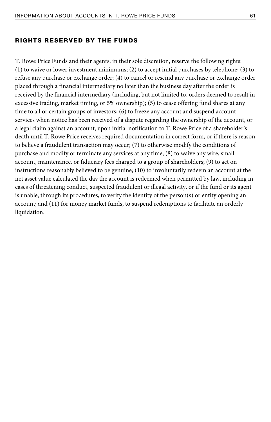#### RIGHTS RESERVED BY THE FUNDS

T. Rowe Price Funds and their agents, in their sole discretion, reserve the following rights: (1) to waive or lower investment minimums; (2) to accept initial purchases by telephone; (3) to refuse any purchase or exchange order; (4) to cancel or rescind any purchase or exchange order placed through a financial intermediary no later than the business day after the order is received by the financial intermediary (including, but not limited to, orders deemed to result in excessive trading, market timing, or 5% ownership); (5) to cease offering fund shares at any time to all or certain groups of investors; (6) to freeze any account and suspend account services when notice has been received of a dispute regarding the ownership of the account, or a legal claim against an account, upon initial notification to T. Rowe Price of a shareholder's death until T. Rowe Price receives required documentation in correct form, or if there is reason to believe a fraudulent transaction may occur; (7) to otherwise modify the conditions of purchase and modify or terminate any services at any time; (8) to waive any wire, small account, maintenance, or fiduciary fees charged to a group of shareholders; (9) to act on instructions reasonably believed to be genuine; (10) to involuntarily redeem an account at the net asset value calculated the day the account is redeemed when permitted by law, including in cases of threatening conduct, suspected fraudulent or illegal activity, or if the fund or its agent is unable, through its procedures, to verify the identity of the person(s) or entity opening an account; and (11) for money market funds, to suspend redemptions to facilitate an orderly liquidation.